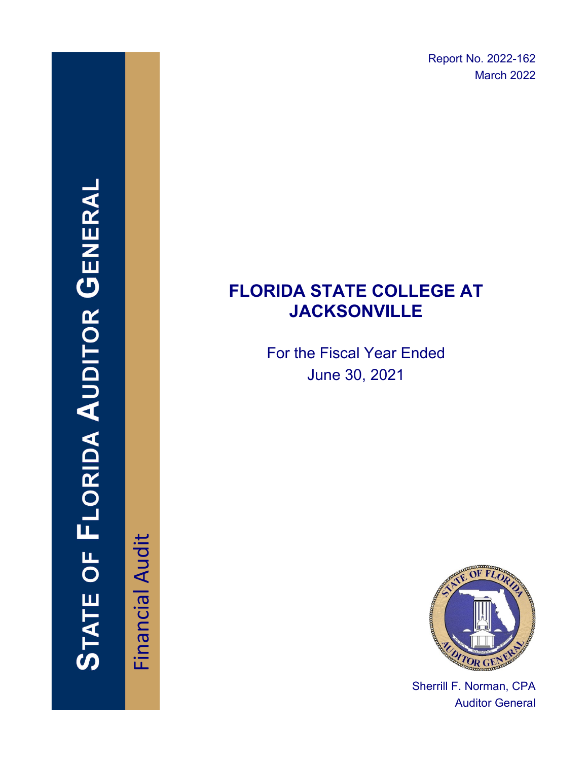Report No. 2022-162 March 2022

# STATE OF FLORIDA AUDITOR GENERAI

Financial Audit Financial Audit

# **FLORIDA STATE COLLEGE AT JACKSONVILLE**

For the Fiscal Year Ended June 30, 2021



Sherrill F. Norman, CPA Auditor General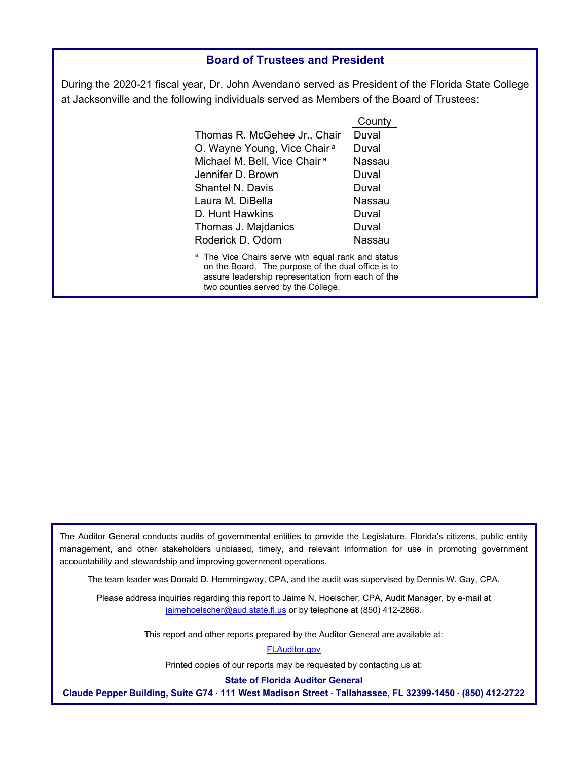### **Board of Trustees and President**

During the 2020-21 fiscal year, Dr. John Avendano served as President of the Florida State College at Jacksonville and the following individuals served as Members of the Board of Trustees:

|                                                                                                                                                                          | County |
|--------------------------------------------------------------------------------------------------------------------------------------------------------------------------|--------|
| Thomas R. McGehee Jr., Chair                                                                                                                                             | Duval  |
| O. Wayne Young, Vice Chair <sup>a</sup>                                                                                                                                  | Duval  |
| Michael M. Bell, Vice Chair <sup>a</sup>                                                                                                                                 | Nassau |
| Jennifer D. Brown                                                                                                                                                        | Duval  |
| <b>Shantel N. Davis</b>                                                                                                                                                  | Duval  |
| Laura M. DiBella                                                                                                                                                         | Nassau |
| D. Hunt Hawkins                                                                                                                                                          | Duval  |
| Thomas J. Majdanics                                                                                                                                                      | Duval  |
| Roderick D. Odom                                                                                                                                                         | Nassau |
| <sup>a</sup> The Vice Chairs serve with equal rank and status<br>on the Board. The purpose of the dual office is to<br>assure leadership representation from each of the |        |

two counties served by the College.

The Auditor General conducts audits of governmental entities to provide the Legislature, Florida's citizens, public entity management, and other stakeholders unbiased, timely, and relevant information for use in promoting government accountability and stewardship and improving government operations.

The team leader was Donald D. Hemmingway, CPA, and the audit was supervised by Dennis W. Gay, CPA.

Please address inquiries regarding this report to Jaime N. Hoelscher, CPA, Audit Manager, by e-mail at jaimehoelscher@aud.state.fl.us or by telephone at (850) 412-2868.

This report and other reports prepared by the Auditor General are available at:

[FLAuditor.gov](http://flauditor.gov/) 

Printed copies of our reports may be requested by contacting us at:

**State of Florida Auditor General** 

**Claude Pepper Building, Suite G74 · 111 West Madison Street · Tallahassee, FL 32399-1450 · (850) 412-2722**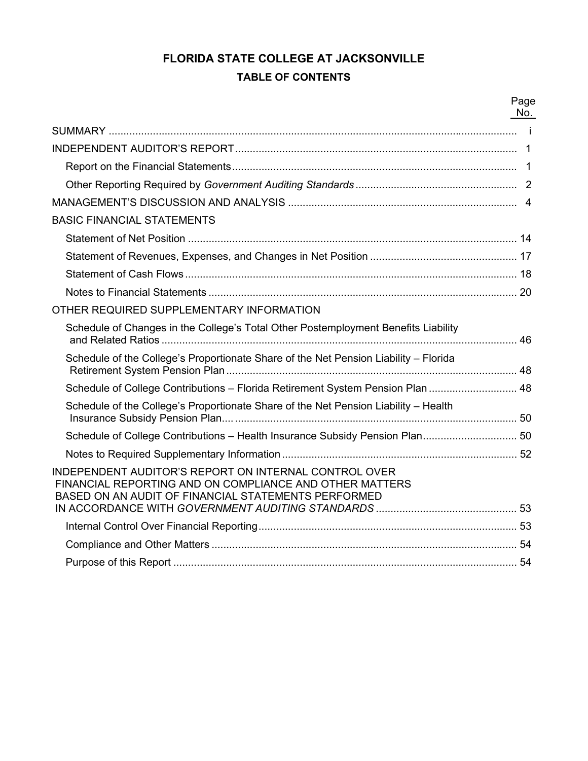# **FLORIDA STATE COLLEGE AT JACKSONVILLE TABLE OF CONTENTS**

Page

|                                                                                                                                                                         | No. |
|-------------------------------------------------------------------------------------------------------------------------------------------------------------------------|-----|
|                                                                                                                                                                         |     |
|                                                                                                                                                                         |     |
|                                                                                                                                                                         |     |
|                                                                                                                                                                         |     |
|                                                                                                                                                                         |     |
| <b>BASIC FINANCIAL STATEMENTS</b>                                                                                                                                       |     |
|                                                                                                                                                                         |     |
|                                                                                                                                                                         |     |
|                                                                                                                                                                         |     |
|                                                                                                                                                                         |     |
| OTHER REQUIRED SUPPLEMENTARY INFORMATION                                                                                                                                |     |
| Schedule of Changes in the College's Total Other Postemployment Benefits Liability                                                                                      |     |
| Schedule of the College's Proportionate Share of the Net Pension Liability - Florida                                                                                    |     |
| Schedule of College Contributions - Florida Retirement System Pension Plan  48                                                                                          |     |
| Schedule of the College's Proportionate Share of the Net Pension Liability - Health                                                                                     |     |
|                                                                                                                                                                         |     |
|                                                                                                                                                                         |     |
| INDEPENDENT AUDITOR'S REPORT ON INTERNAL CONTROL OVER<br>FINANCIAL REPORTING AND ON COMPLIANCE AND OTHER MATTERS<br>BASED ON AN AUDIT OF FINANCIAL STATEMENTS PERFORMED |     |
|                                                                                                                                                                         |     |
|                                                                                                                                                                         |     |
|                                                                                                                                                                         |     |
|                                                                                                                                                                         |     |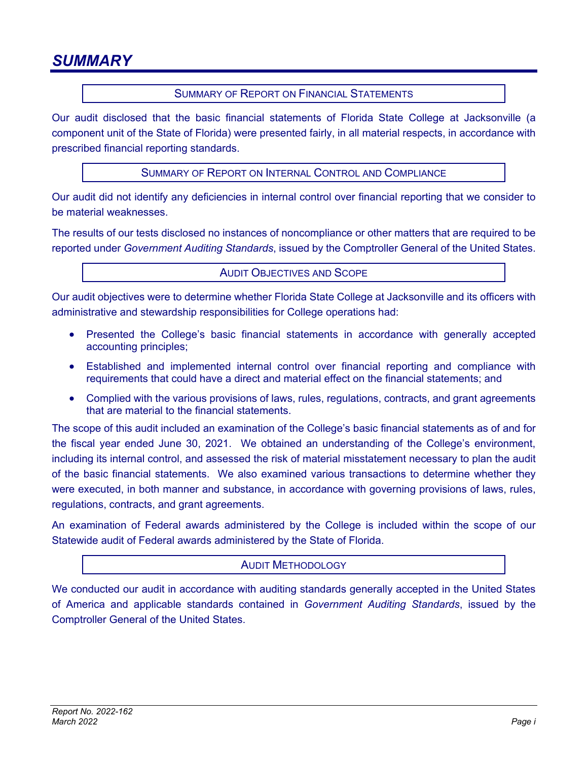# SUMMARY OF REPORT ON FINANCIAL STATEMENTS

<span id="page-3-0"></span>Our audit disclosed that the basic financial statements of Florida State College at Jacksonville (a component unit of the State of Florida) were presented fairly, in all material respects, in accordance with prescribed financial reporting standards.

SUMMARY OF REPORT ON INTERNAL CONTROL AND COMPLIANCE

Our audit did not identify any deficiencies in internal control over financial reporting that we consider to be material weaknesses.

The results of our tests disclosed no instances of noncompliance or other matters that are required to be reported under *Government Auditing Standards*, issued by the Comptroller General of the United States.

### AUDIT OBJECTIVES AND SCOPE

Our audit objectives were to determine whether Florida State College at Jacksonville and its officers with administrative and stewardship responsibilities for College operations had:

- Presented the College's basic financial statements in accordance with generally accepted accounting principles;
- Established and implemented internal control over financial reporting and compliance with requirements that could have a direct and material effect on the financial statements; and
- Complied with the various provisions of laws, rules, regulations, contracts, and grant agreements that are material to the financial statements.

The scope of this audit included an examination of the College's basic financial statements as of and for the fiscal year ended June 30, 2021. We obtained an understanding of the College's environment, including its internal control, and assessed the risk of material misstatement necessary to plan the audit of the basic financial statements. We also examined various transactions to determine whether they were executed, in both manner and substance, in accordance with governing provisions of laws, rules, regulations, contracts, and grant agreements.

An examination of Federal awards administered by the College is included within the scope of our Statewide audit of Federal awards administered by the State of Florida.

# AUDIT METHODOLOGY

We conducted our audit in accordance with auditing standards generally accepted in the United States of America and applicable standards contained in *Government Auditing Standards*, issued by the Comptroller General of the United States.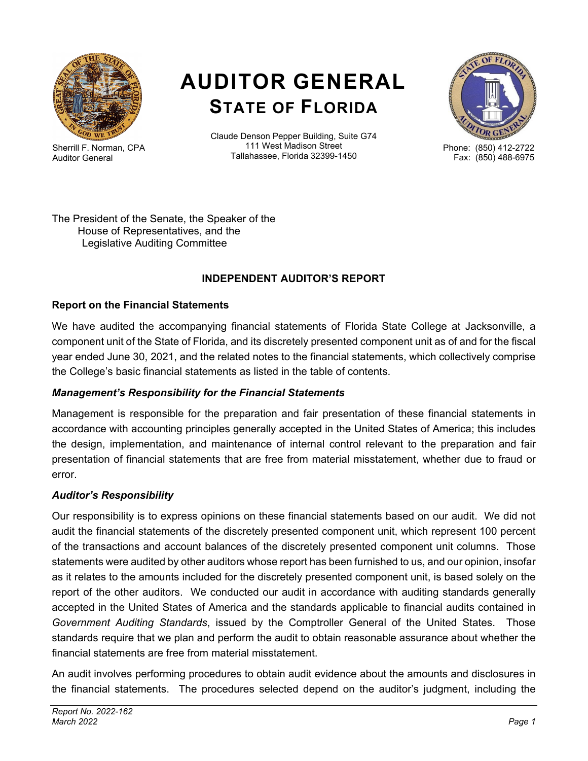<span id="page-4-0"></span>

Sherrill F. Norman, CPA Auditor General

# **AUDITOR GENERAL STATE OF FLORIDA**

Claude Denson Pepper Building, Suite G74 111 West Madison Street Tallahassee, Florida 32399-1450



Phone: (850) 412-2722 Fax: (850) 488-6975

The President of the Senate, the Speaker of the House of Representatives, and the Legislative Auditing Committee

# **INDEPENDENT AUDITOR'S REPORT**

# **Report on the Financial Statements**

We have audited the accompanying financial statements of Florida State College at Jacksonville, a component unit of the State of Florida, and its discretely presented component unit as of and for the fiscal year ended June 30, 2021, and the related notes to the financial statements, which collectively comprise the College's basic financial statements as listed in the table of contents.

# *Management's Responsibility for the Financial Statements*

Management is responsible for the preparation and fair presentation of these financial statements in accordance with accounting principles generally accepted in the United States of America; this includes the design, implementation, and maintenance of internal control relevant to the preparation and fair presentation of financial statements that are free from material misstatement, whether due to fraud or error.

# *Auditor's Responsibility*

Our responsibility is to express opinions on these financial statements based on our audit. We did not audit the financial statements of the discretely presented component unit, which represent 100 percent of the transactions and account balances of the discretely presented component unit columns. Those statements were audited by other auditors whose report has been furnished to us, and our opinion, insofar as it relates to the amounts included for the discretely presented component unit, is based solely on the report of the other auditors. We conducted our audit in accordance with auditing standards generally accepted in the United States of America and the standards applicable to financial audits contained in *Government Auditing Standards*, issued by the Comptroller General of the United States. Those standards require that we plan and perform the audit to obtain reasonable assurance about whether the financial statements are free from material misstatement.

An audit involves performing procedures to obtain audit evidence about the amounts and disclosures in the financial statements. The procedures selected depend on the auditor's judgment, including the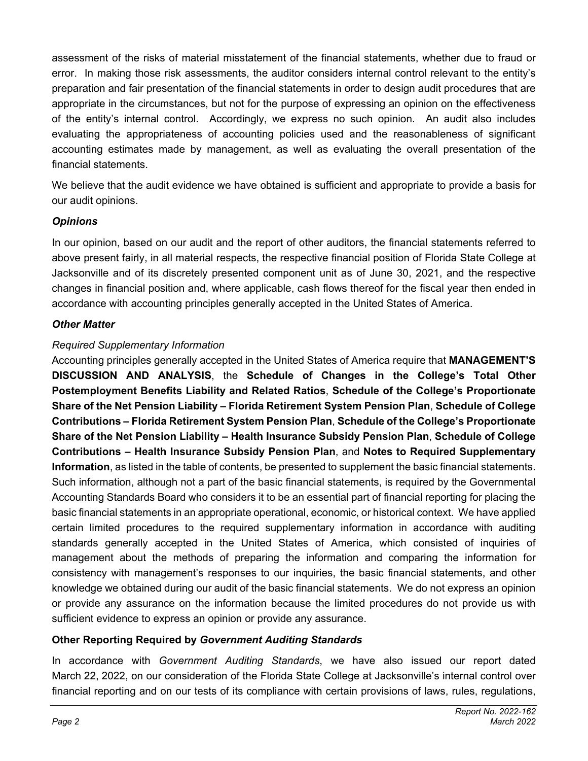<span id="page-5-0"></span>assessment of the risks of material misstatement of the financial statements, whether due to fraud or error. In making those risk assessments, the auditor considers internal control relevant to the entity's preparation and fair presentation of the financial statements in order to design audit procedures that are appropriate in the circumstances, but not for the purpose of expressing an opinion on the effectiveness of the entity's internal control. Accordingly, we express no such opinion. An audit also includes evaluating the appropriateness of accounting policies used and the reasonableness of significant accounting estimates made by management, as well as evaluating the overall presentation of the financial statements.

We believe that the audit evidence we have obtained is sufficient and appropriate to provide a basis for our audit opinions.

# *Opinions*

In our opinion, based on our audit and the report of other auditors, the financial statements referred to above present fairly, in all material respects, the respective financial position of Florida State College at Jacksonville and of its discretely presented component unit as of June 30, 2021, and the respective changes in financial position and, where applicable, cash flows thereof for the fiscal year then ended in accordance with accounting principles generally accepted in the United States of America.

# *Other Matter*

# *Required Supplementary Information*

Accounting principles generally accepted in the United States of America require that **MANAGEMENT'S DISCUSSION AND ANALYSIS**, the **Schedule of Changes in the College's Total Other Postemployment Benefits Liability and Related Ratios**, **Schedule of the College's Proportionate Share of the Net Pension Liability – Florida Retirement System Pension Plan**, **Schedule of College Contributions – Florida Retirement System Pension Plan**, **Schedule of the College's Proportionate Share of the Net Pension Liability – Health Insurance Subsidy Pension Plan**, **Schedule of College Contributions – Health Insurance Subsidy Pension Plan**, and **Notes to Required Supplementary Information**, as listed in the table of contents, be presented to supplement the basic financial statements. Such information, although not a part of the basic financial statements, is required by the Governmental Accounting Standards Board who considers it to be an essential part of financial reporting for placing the basic financial statements in an appropriate operational, economic, or historical context. We have applied certain limited procedures to the required supplementary information in accordance with auditing standards generally accepted in the United States of America, which consisted of inquiries of management about the methods of preparing the information and comparing the information for consistency with management's responses to our inquiries, the basic financial statements, and other knowledge we obtained during our audit of the basic financial statements. We do not express an opinion or provide any assurance on the information because the limited procedures do not provide us with sufficient evidence to express an opinion or provide any assurance.

# **Other Reporting Required by** *Government Auditing Standards*

In accordance with *Government Auditing Standards*, we have also issued our report dated March 22, 2022, on our consideration of the Florida State College at Jacksonville's internal control over financial reporting and on our tests of its compliance with certain provisions of laws, rules, regulations,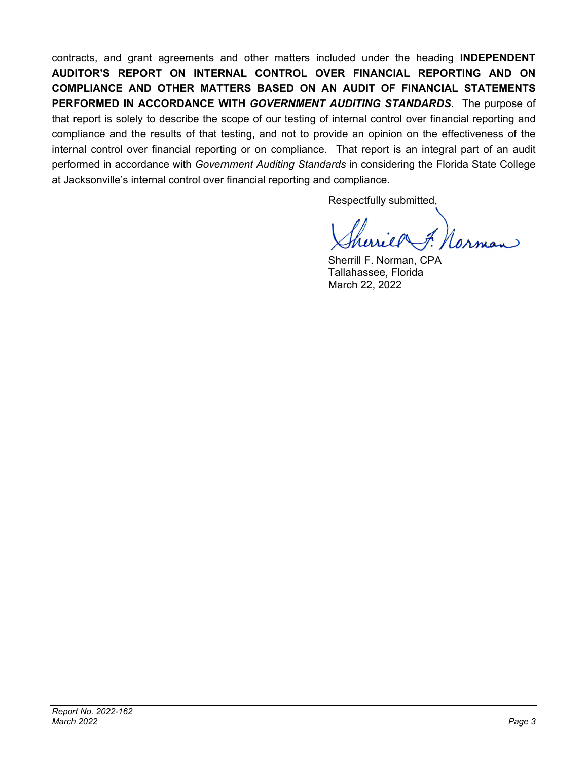contracts, and grant agreements and other matters included under the heading **INDEPENDENT AUDITOR'S REPORT ON INTERNAL CONTROL OVER FINANCIAL REPORTING AND ON COMPLIANCE AND OTHER MATTERS BASED ON AN AUDIT OF FINANCIAL STATEMENTS PERFORMED IN ACCORDANCE WITH** *GOVERNMENT AUDITING STANDARDS*. The purpose of that report is solely to describe the scope of our testing of internal control over financial reporting and compliance and the results of that testing, and not to provide an opinion on the effectiveness of the internal control over financial reporting or on compliance. That report is an integral part of an audit performed in accordance with *Government Auditing Standards* in considering the Florida State College at Jacksonville's internal control over financial reporting and compliance.

Respectfully submitted,

Sherrill F. Norman, CPA Tallahassee, Florida March 22, 2022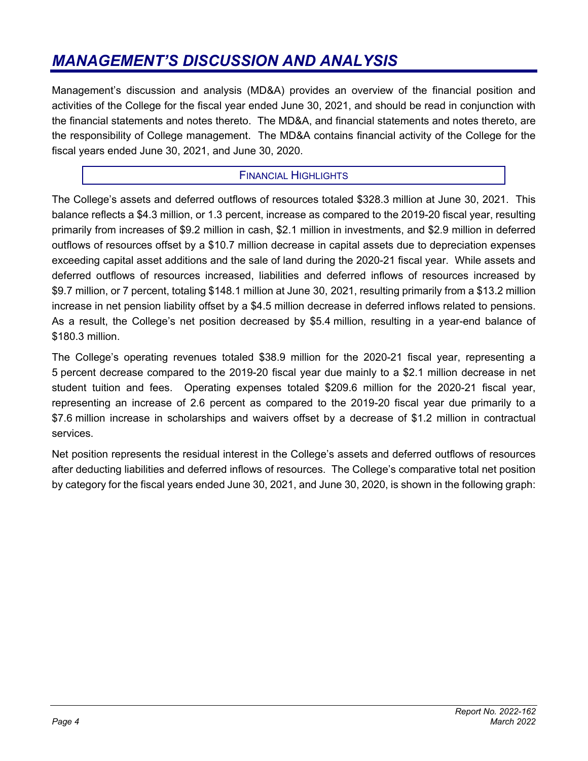# <span id="page-7-0"></span>*MANAGEMENT'S DISCUSSION AND ANALYSIS*

Management's discussion and analysis (MD&A) provides an overview of the financial position and activities of the College for the fiscal year ended June 30, 2021, and should be read in conjunction with the financial statements and notes thereto. The MD&A, and financial statements and notes thereto, are the responsibility of College management. The MD&A contains financial activity of the College for the fiscal years ended June 30, 2021, and June 30, 2020.

# FINANCIAL HIGHLIGHTS

The College's assets and deferred outflows of resources totaled \$328.3 million at June 30, 2021. This balance reflects a \$4.3 million, or 1.3 percent, increase as compared to the 2019-20 fiscal year, resulting primarily from increases of \$9.2 million in cash, \$2.1 million in investments, and \$2.9 million in deferred outflows of resources offset by a \$10.7 million decrease in capital assets due to depreciation expenses exceeding capital asset additions and the sale of land during the 2020-21 fiscal year. While assets and deferred outflows of resources increased, liabilities and deferred inflows of resources increased by \$9.7 million, or 7 percent, totaling \$148.1 million at June 30, 2021, resulting primarily from a \$13.2 million increase in net pension liability offset by a \$4.5 million decrease in deferred inflows related to pensions. As a result, the College's net position decreased by \$5.4 million, resulting in a year-end balance of \$180.3 million.

The College's operating revenues totaled \$38.9 million for the 2020-21 fiscal year, representing a 5 percent decrease compared to the 2019-20 fiscal year due mainly to a \$2.1 million decrease in net student tuition and fees. Operating expenses totaled \$209.6 million for the 2020-21 fiscal year, representing an increase of 2.6 percent as compared to the 2019-20 fiscal year due primarily to a \$7.6 million increase in scholarships and waivers offset by a decrease of \$1.2 million in contractual services.

Net position represents the residual interest in the College's assets and deferred outflows of resources after deducting liabilities and deferred inflows of resources. The College's comparative total net position by category for the fiscal years ended June 30, 2021, and June 30, 2020, is shown in the following graph: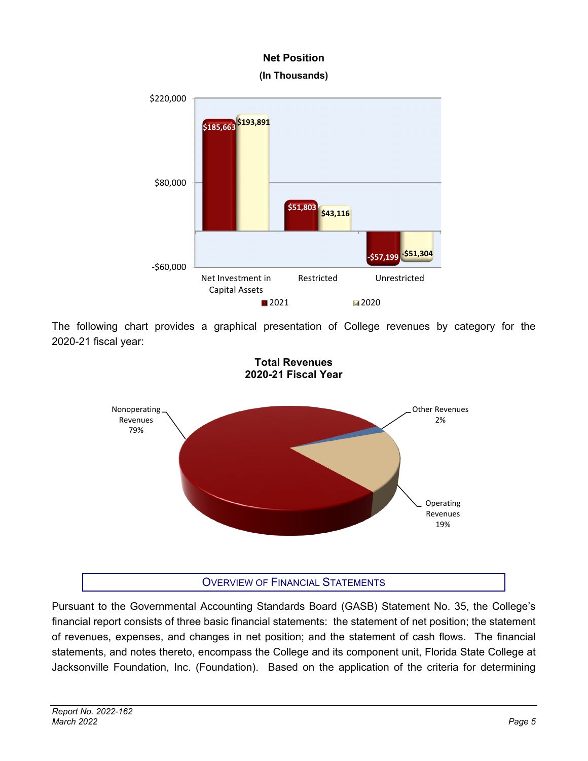**Net Position (In Thousands)** 



The following chart provides a graphical presentation of College revenues by category for the 2020-21 fiscal year:



Pursuant to the Governmental Accounting Standards Board (GASB) Statement No. 35, the College's financial report consists of three basic financial statements: the statement of net position; the statement of revenues, expenses, and changes in net position; and the statement of cash flows. The financial statements, and notes thereto, encompass the College and its component unit, Florida State College at Jacksonville Foundation, Inc. (Foundation). Based on the application of the criteria for determining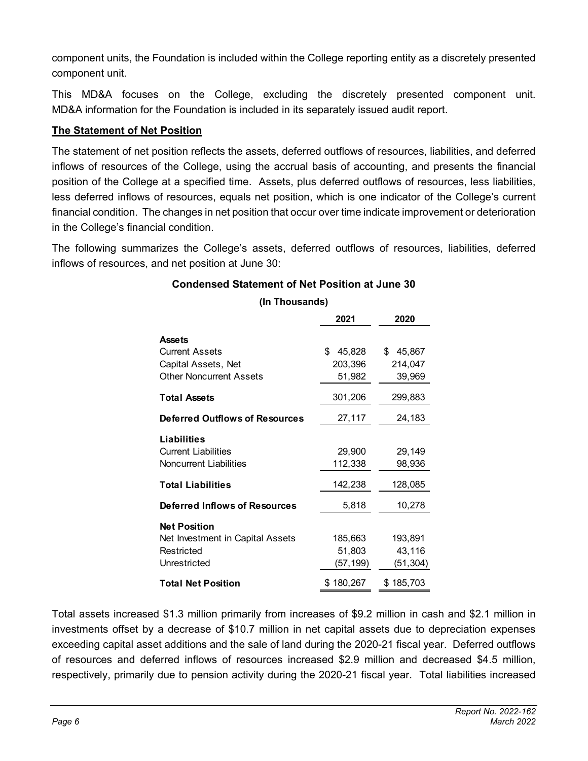component units, the Foundation is included within the College reporting entity as a discretely presented component unit.

This MD&A focuses on the College, excluding the discretely presented component unit. MD&A information for the Foundation is included in its separately issued audit report.

# **The Statement of Net Position**

The statement of net position reflects the assets, deferred outflows of resources, liabilities, and deferred inflows of resources of the College, using the accrual basis of accounting, and presents the financial position of the College at a specified time. Assets, plus deferred outflows of resources, less liabilities, less deferred inflows of resources, equals net position, which is one indicator of the College's current financial condition. The changes in net position that occur over time indicate improvement or deterioration in the College's financial condition.

The following summarizes the College's assets, deferred outflows of resources, liabilities, deferred inflows of resources, and net position at June 30:

### **Condensed Statement of Net Position at June 30 (In Thousands)**

| un muusanus,                          |               |              |  |  |
|---------------------------------------|---------------|--------------|--|--|
|                                       | 2021          | 2020         |  |  |
| <b>Assets</b>                         |               |              |  |  |
| <b>Current Assets</b>                 | \$.<br>45,828 | \$<br>45,867 |  |  |
| Capital Assets, Net                   | 203,396       | 214,047      |  |  |
| <b>Other Noncurrent Assets</b>        | 51,982        | 39,969       |  |  |
| <b>Total Assets</b>                   | 301,206       | 299,883      |  |  |
| <b>Deferred Outflows of Resources</b> | 27,117        | 24,183       |  |  |
| Liabilities                           |               |              |  |  |
| <b>Current Liabilities</b>            | 29,900        | 29,149       |  |  |
| <b>Noncurrent Liabilities</b>         | 112,338       | 98,936       |  |  |
| <b>Total Liabilities</b>              | 142,238       | 128,085      |  |  |
| Deferred Inflows of Resources         | 5,818         | 10,278       |  |  |
| <b>Net Position</b>                   |               |              |  |  |
| Net Investment in Capital Assets      | 185,663       | 193,891      |  |  |
| Restricted                            | 51,803        | 43,116       |  |  |
| Unrestricted                          | (57, 199)     | (51, 304)    |  |  |
| <b>Total Net Position</b>             | \$180,267     | \$185,703    |  |  |

Total assets increased \$1.3 million primarily from increases of \$9.2 million in cash and \$2.1 million in investments offset by a decrease of \$10.7 million in net capital assets due to depreciation expenses exceeding capital asset additions and the sale of land during the 2020-21 fiscal year. Deferred outflows of resources and deferred inflows of resources increased \$2.9 million and decreased \$4.5 million, respectively, primarily due to pension activity during the 2020-21 fiscal year. Total liabilities increased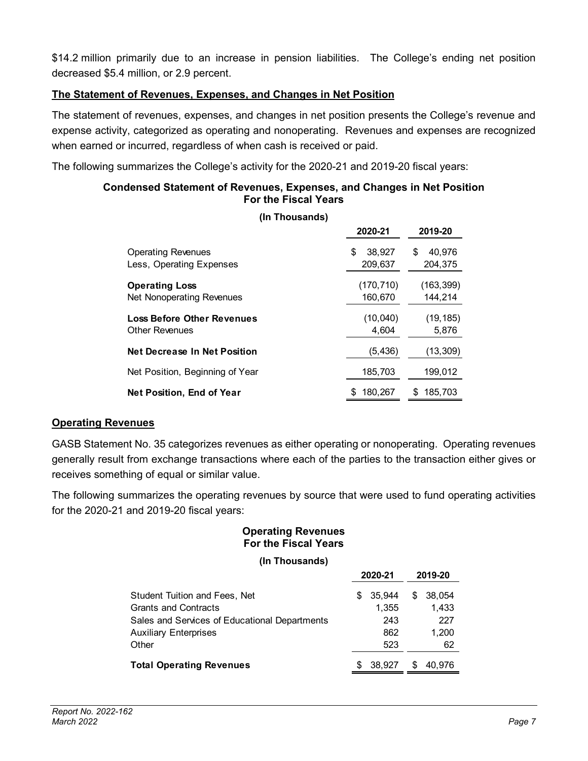\$14.2 million primarily due to an increase in pension liabilities. The College's ending net position decreased \$5.4 million, or 2.9 percent.

# **The Statement of Revenues, Expenses, and Changes in Net Position**

The statement of revenues, expenses, and changes in net position presents the College's revenue and expense activity, categorized as operating and nonoperating. Revenues and expenses are recognized when earned or incurred, regardless of when cash is received or paid.

The following summarizes the College's activity for the 2020-21 and 2019-20 fiscal years:

### **Condensed Statement of Revenues, Expenses, and Changes in Net Position For the Fiscal Years**

### **(In Thousands)**

|                                                            | 2020-21                 | 2019-20                 |  |
|------------------------------------------------------------|-------------------------|-------------------------|--|
| <b>Operating Revenues</b><br>Less, Operating Expenses      | \$<br>38,927<br>209,637 | 40,976<br>\$<br>204,375 |  |
| <b>Operating Loss</b><br>Net Nonoperating Revenues         | (170, 710)<br>160,670   | (163, 399)<br>144,214   |  |
| <b>Loss Before Other Revenues</b><br><b>Other Revenues</b> | (10,040)<br>4,604       | (19, 185)<br>5,876      |  |
| <b>Net Decrease In Net Position</b>                        | (5,436)                 | (13, 309)               |  |
| Net Position, Beginning of Year                            | 185,703                 | 199,012                 |  |
| <b>Net Position, End of Year</b>                           | 180,267<br>S            | 185,703<br>S            |  |

### **Operating Revenues**

GASB Statement No. 35 categorizes revenues as either operating or nonoperating. Operating revenues generally result from exchange transactions where each of the parties to the transaction either gives or receives something of equal or similar value.

The following summarizes the operating revenues by source that were used to fund operating activities for the 2020-21 and 2019-20 fiscal years:

# **Operating Revenues For the Fiscal Years**

# **(In Thousands)**

|                                                                                 | 2020-21 |                   | 2019-20 |                    |
|---------------------------------------------------------------------------------|---------|-------------------|---------|--------------------|
| Student Tuition and Fees, Net<br>Grants and Contracts                           | S       | 35.944<br>1.355   | S       | 38,054<br>1.433    |
| Sales and Services of Educational Departments<br>Auxiliary Enterprises<br>Other |         | 243<br>862<br>523 |         | 227<br>1,200<br>62 |
| <b>Total Operating Revenues</b>                                                 | S       | 38.927            | \$      | 40.976             |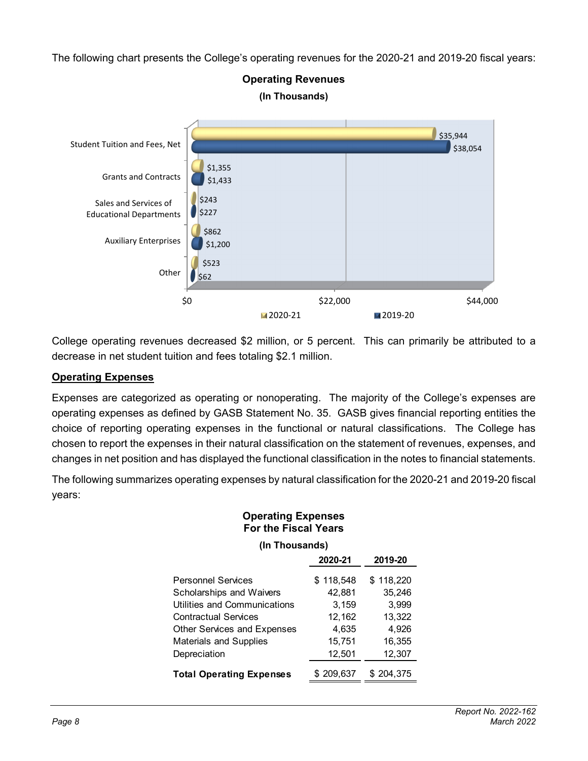The following chart presents the College's operating revenues for the 2020-21 and 2019-20 fiscal years:



College operating revenues decreased \$2 million, or 5 percent. This can primarily be attributed to a decrease in net student tuition and fees totaling \$2.1 million.

# **Operating Expenses**

Expenses are categorized as operating or nonoperating. The majority of the College's expenses are operating expenses as defined by GASB Statement No. 35. GASB gives financial reporting entities the choice of reporting operating expenses in the functional or natural classifications. The College has chosen to report the expenses in their natural classification on the statement of revenues, expenses, and changes in net position and has displayed the functional classification in the notes to financial statements.

The following summarizes operating expenses by natural classification for the 2020-21 and 2019-20 fiscal years:

# **Operating Expenses For the Fiscal Years**

| (In Thousands)                     |           |           |  |  |
|------------------------------------|-----------|-----------|--|--|
|                                    | 2020-21   | 2019-20   |  |  |
| Personnel Services                 | \$118,548 | \$118,220 |  |  |
| Scholarships and Waivers           | 42,881    | 35,246    |  |  |
| Utilities and Communications       | 3,159     | 3,999     |  |  |
| Contractual Services               | 12,162    | 13,322    |  |  |
| <b>Other Services and Expenses</b> | 4,635     | 4,926     |  |  |
| Materials and Supplies             | 15,751    | 16,355    |  |  |
| Depreciation                       | 12,501    | 12,307    |  |  |
| Total Operating Expenses           | \$209,637 | \$204,375 |  |  |

### *Report No. 2022-162 Page 8 March 2022*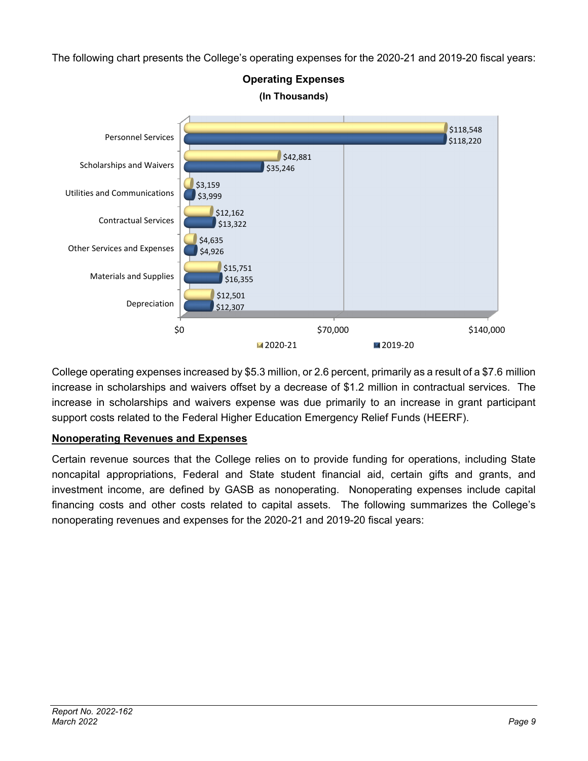The following chart presents the College's operating expenses for the 2020-21 and 2019-20 fiscal years:



College operating expenses increased by \$5.3 million, or 2.6 percent, primarily as a result of a \$7.6 million increase in scholarships and waivers offset by a decrease of \$1.2 million in contractual services. The increase in scholarships and waivers expense was due primarily to an increase in grant participant support costs related to the Federal Higher Education Emergency Relief Funds (HEERF).

# **Nonoperating Revenues and Expenses**

Certain revenue sources that the College relies on to provide funding for operations, including State noncapital appropriations, Federal and State student financial aid, certain gifts and grants, and investment income, are defined by GASB as nonoperating. Nonoperating expenses include capital financing costs and other costs related to capital assets. The following summarizes the College's nonoperating revenues and expenses for the 2020-21 and 2019-20 fiscal years: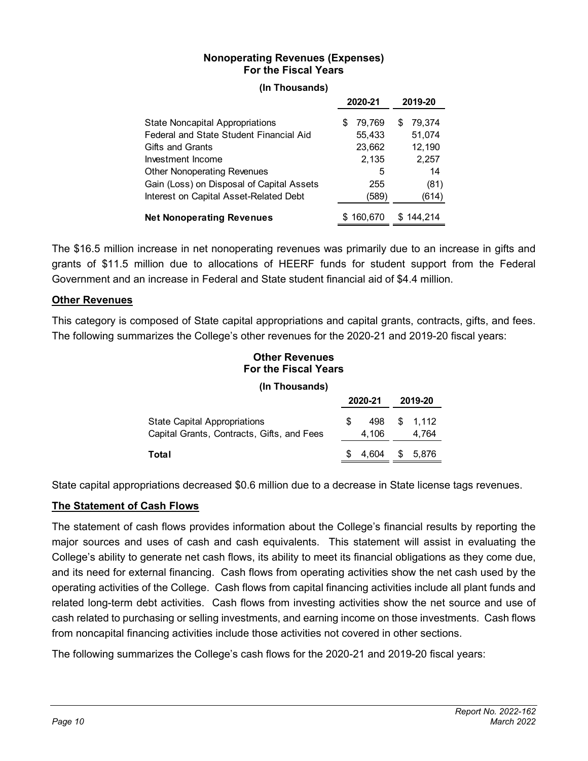### **Nonoperating Revenues (Expenses) For the Fiscal Years**

**(In Thousands)** 

# **2020-21 2019-20** State Noncapital Appropriations  $$79,769$  \$79,374 Federal and State Student Financial Aid 55,433 51,074 Gifts and Grants 23,662 12,190 Investment Income 2,135 2,257 Other Nonoperating Revenues 5 14 Gain (Loss) on Disposal of Capital Assets 255 (81) Interest on Capital Asset-Related Debt (589) (614) **Net Nonoperating Revenues** \$ 160,670 \$ 144,214

The \$16.5 million increase in net nonoperating revenues was primarily due to an increase in gifts and grants of \$11.5 million due to allocations of HEERF funds for student support from the Federal Government and an increase in Federal and State student financial aid of \$4.4 million.

# **Other Revenues**

This category is composed of State capital appropriations and capital grants, contracts, gifts, and fees. The following summarizes the College's other revenues for the 2020-21 and 2019-20 fiscal years:

# **Other Revenues For the Fiscal Years**

### **(In Thousands)**

|                                                                                   | 2020-21 |       | 2019-20 |                       |
|-----------------------------------------------------------------------------------|---------|-------|---------|-----------------------|
| <b>State Capital Appropriations</b><br>Capital Grants, Contracts, Gifts, and Fees |         | 4.106 |         | 498 \$ 1.112<br>4.764 |
| Total                                                                             |         | 4.604 |         | \$5,876               |

State capital appropriations decreased \$0.6 million due to a decrease in State license tags revenues.

# **The Statement of Cash Flows**

The statement of cash flows provides information about the College's financial results by reporting the major sources and uses of cash and cash equivalents. This statement will assist in evaluating the College's ability to generate net cash flows, its ability to meet its financial obligations as they come due, and its need for external financing. Cash flows from operating activities show the net cash used by the operating activities of the College. Cash flows from capital financing activities include all plant funds and related long-term debt activities. Cash flows from investing activities show the net source and use of cash related to purchasing or selling investments, and earning income on those investments. Cash flows from noncapital financing activities include those activities not covered in other sections.

The following summarizes the College's cash flows for the 2020-21 and 2019-20 fiscal years: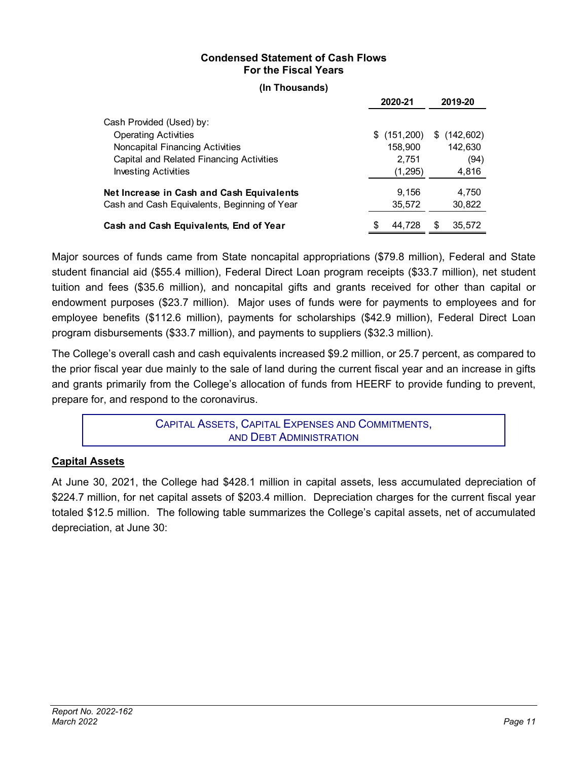### **Condensed Statement of Cash Flows For the Fiscal Years**

**(In Thousands)** 

**2020-21 2019-20**

|                                                 | ZUZU-Z I         | 2019-20     |
|-------------------------------------------------|------------------|-------------|
| Cash Provided (Used) by:                        |                  |             |
| <b>Operating Activities</b>                     | \$<br>(151, 200) | \$(142,602) |
| <b>Noncapital Financing Activities</b>          | 158,900          | 142,630     |
| <b>Capital and Related Financing Activities</b> | 2,751            | (94)        |
| <b>Investing Activities</b>                     | (1,295)          | 4,816       |
| Net Increase in Cash and Cash Equivalents       | 9.156            | 4.750       |
| Cash and Cash Equivalents, Beginning of Year    | 35,572           | 30,822      |
| Cash and Cash Equivalents, End of Year          | 44.728           | 35.572      |

Major sources of funds came from State noncapital appropriations (\$79.8 million), Federal and State student financial aid (\$55.4 million), Federal Direct Loan program receipts (\$33.7 million), net student tuition and fees (\$35.6 million), and noncapital gifts and grants received for other than capital or endowment purposes (\$23.7 million). Major uses of funds were for payments to employees and for employee benefits (\$112.6 million), payments for scholarships (\$42.9 million), Federal Direct Loan program disbursements (\$33.7 million), and payments to suppliers (\$32.3 million).

The College's overall cash and cash equivalents increased \$9.2 million, or 25.7 percent, as compared to the prior fiscal year due mainly to the sale of land during the current fiscal year and an increase in gifts and grants primarily from the College's allocation of funds from HEERF to provide funding to prevent, prepare for, and respond to the coronavirus.

> CAPITAL ASSETS, CAPITAL EXPENSES AND COMMITMENTS, AND DEBT ADMINISTRATION

# **Capital Assets**

At June 30, 2021, the College had \$428.1 million in capital assets, less accumulated depreciation of \$224.7 million, for net capital assets of \$203.4 million. Depreciation charges for the current fiscal year totaled \$12.5 million. The following table summarizes the College's capital assets, net of accumulated depreciation, at June 30: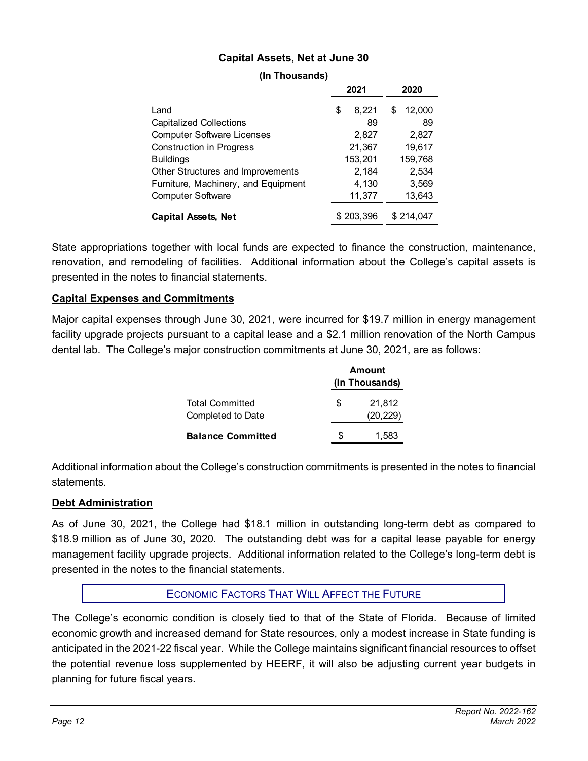# **Capital Assets, Net at June 30**

|                                     | 2021        | 2020         |
|-------------------------------------|-------------|--------------|
| Land                                | 8,221<br>\$ | 12,000<br>\$ |
| <b>Capitalized Collections</b>      | 89          | 89           |
| <b>Computer Software Licenses</b>   | 2,827       | 2,827        |
| <b>Construction in Progress</b>     | 21,367      | 19,617       |
| Buildings                           | 153,201     | 159,768      |
| Other Structures and Improvements   | 2,184       | 2,534        |
| Furniture, Machinery, and Equipment | 4,130       | 3,569        |
| Computer Software                   | 11,377      | 13,643       |
| <b>Capital Assets, Net</b>          | \$203.396   | \$214.047    |

# **(In Thousands)**

State appropriations together with local funds are expected to finance the construction, maintenance, renovation, and remodeling of facilities. Additional information about the College's capital assets is presented in the notes to financial statements.

# **Capital Expenses and Commitments**

Major capital expenses through June 30, 2021, were incurred for \$19.7 million in energy management facility upgrade projects pursuant to a capital lease and a \$2.1 million renovation of the North Campus dental lab. The College's major construction commitments at June 30, 2021, are as follows:

|                                             |   | Amount<br>(In Thousands) |  |  |
|---------------------------------------------|---|--------------------------|--|--|
| <b>Total Committed</b><br>Completed to Date | S | 21,812<br>(20, 229)      |  |  |
| <b>Balance Committed</b>                    | S | 1,583                    |  |  |

Additional information about the College's construction commitments is presented in the notes to financial statements.

# **Debt Administration**

As of June 30, 2021, the College had \$18.1 million in outstanding long-term debt as compared to \$18.9 million as of June 30, 2020. The outstanding debt was for a capital lease payable for energy management facility upgrade projects. Additional information related to the College's long-term debt is presented in the notes to the financial statements.

# ECONOMIC FACTORS THAT WILL AFFECT THE FUTURE

The College's economic condition is closely tied to that of the State of Florida. Because of limited economic growth and increased demand for State resources, only a modest increase in State funding is anticipated in the 2021-22 fiscal year. While the College maintains significant financial resources to offset the potential revenue loss supplemented by HEERF, it will also be adjusting current year budgets in planning for future fiscal years.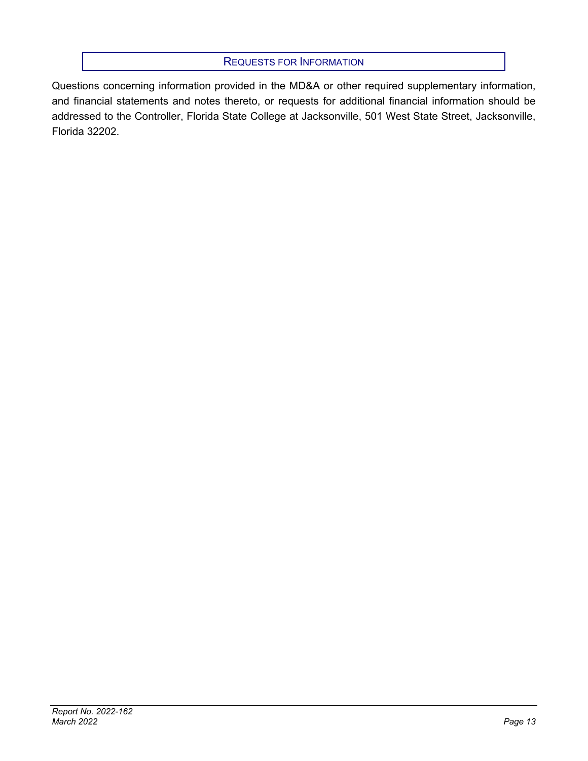# REQUESTS FOR INFORMATION

Questions concerning information provided in the MD&A or other required supplementary information, and financial statements and notes thereto, or requests for additional financial information should be addressed to the Controller, Florida State College at Jacksonville, 501 West State Street, Jacksonville, Florida 32202.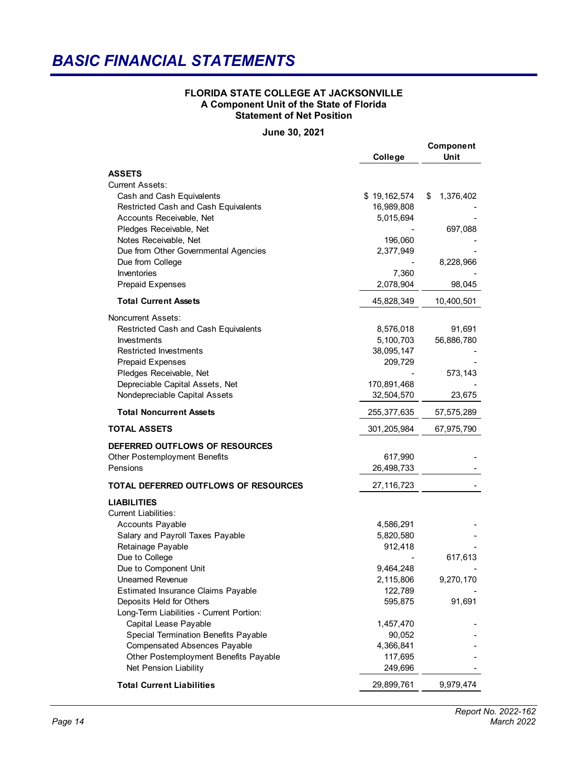# <span id="page-17-0"></span>*BASIC FINANCIAL STATEMENTS*

### **FLORIDA STATE COLLEGE AT JACKSONVILLE A Component Unit of the State of Florida Statement of Net Position**

**June 30, 2021** 

|                                                  |                      | Component       |
|--------------------------------------------------|----------------------|-----------------|
|                                                  | College              | Unit            |
| <b>ASSETS</b>                                    |                      |                 |
| <b>Current Assets:</b>                           |                      |                 |
| Cash and Cash Equivalents                        | \$19,162,574         | \$<br>1,376,402 |
| Restricted Cash and Cash Equivalents             | 16,989,808           |                 |
| Accounts Receivable, Net                         | 5,015,694            |                 |
| Pledges Receivable, Net                          |                      | 697,088         |
| Notes Receivable, Net                            | 196,060              |                 |
| Due from Other Governmental Agencies             | 2,377,949            |                 |
| Due from College                                 |                      | 8,228,966       |
| Inventories                                      | 7,360                |                 |
| <b>Prepaid Expenses</b>                          | 2,078,904            | 98,045          |
| <b>Total Current Assets</b>                      | 45,828,349           | 10,400,501      |
| Noncurrent Assets:                               |                      |                 |
| Restricted Cash and Cash Equivalents             | 8,576,018            | 91,691          |
| Investments                                      | 5,100,703            | 56,886,780      |
| <b>Restricted Investments</b>                    | 38,095,147           |                 |
| Prepaid Expenses                                 | 209,729              |                 |
| Pledges Receivable, Net                          |                      | 573,143         |
| Depreciable Capital Assets, Net                  | 170,891,468          |                 |
| Nondepreciable Capital Assets                    | 32,504,570           | 23,675          |
| <b>Total Noncurrent Assets</b>                   | 255,377,635          | 57,575,289      |
| TOTAL ASSETS                                     | 301,205,984          | 67,975,790      |
| DEFERRED OUTFLOWS OF RESOURCES                   |                      |                 |
| <b>Other Postemployment Benefits</b>             | 617,990              |                 |
| Pensions                                         | 26,498,733           |                 |
| TOTAL DEFERRED OUTFLOWS OF RESOURCES             |                      |                 |
|                                                  | 27,116,723           |                 |
| <b>LIABILITIES</b>                               |                      |                 |
| <b>Current Liabilities:</b>                      |                      |                 |
| <b>Accounts Payable</b>                          | 4,586,291            |                 |
| Salary and Payroll Taxes Payable                 | 5,820,580            |                 |
| Retainage Payable                                | 912,418              |                 |
| Due to College                                   | 9,464,248            | 617,613         |
| Due to Component Unit<br><b>Unearned Revenue</b> |                      |                 |
| Estimated Insurance Claims Payable               | 2,115,806<br>122,789 | 9,270,170       |
| Deposits Held for Others                         |                      | 91,691          |
| Long-Term Liabilities - Current Portion:         | 595,875              |                 |
| Capital Lease Payable                            | 1,457,470            |                 |
| Special Termination Benefits Payable             | 90,052               |                 |
| <b>Compensated Absences Payable</b>              | 4,366,841            |                 |
| Other Postemployment Benefits Payable            | 117,695              |                 |
| Net Pension Liability                            | 249,696              |                 |
|                                                  |                      |                 |
| <b>Total Current Liabilities</b>                 | 29,899,761           | 9,979,474       |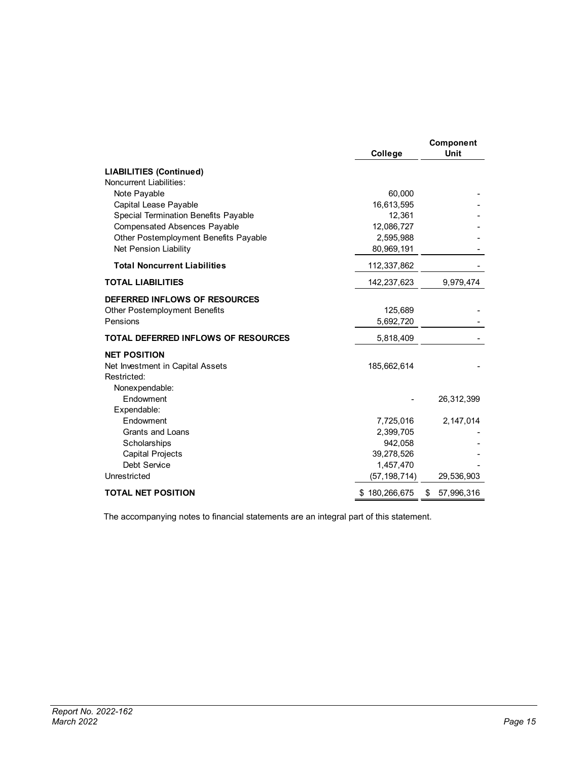|                                         |                      | Component       |
|-----------------------------------------|----------------------|-----------------|
|                                         | College              | <b>Unit</b>     |
| <b>LIABILITIES (Continued)</b>          |                      |                 |
| Noncurrent Liabilities:                 |                      |                 |
| Note Payable                            | 60,000               |                 |
| Capital Lease Payable                   | 16,613,595           |                 |
| Special Termination Benefits Payable    | 12,361               |                 |
| <b>Compensated Absences Payable</b>     | 12,086,727           |                 |
| Other Postemployment Benefits Payable   | 2,595,988            |                 |
| Net Pension Liability                   | 80,969,191           |                 |
| <b>Total Noncurrent Liabilities</b>     | 112,337,862          |                 |
| <b>TOTAL LIABILITIES</b>                | 142,237,623          | 9,979,474       |
| DEFERRED INFLOWS OF RESOURCES           |                      |                 |
| <b>Other Postemployment Benefits</b>    | 125,689              |                 |
| Pensions                                | 5,692,720            |                 |
| TOTAL DEFERRED INFLOWS OF RESOURCES     | 5,818,409            |                 |
| <b>NET POSITION</b>                     |                      |                 |
| Net Investment in Capital Assets        | 185,662,614          |                 |
| Restricted:                             |                      |                 |
| Nonexpendable:                          |                      |                 |
| <b>Fndowment</b>                        |                      | 26,312,399      |
| Expendable:                             |                      |                 |
| Endowment                               | 7,725,016            | 2,147,014       |
| <b>Grants and Loans</b><br>Scholarships | 2,399,705<br>942,058 |                 |
| <b>Capital Projects</b>                 | 39,278,526           |                 |
| Debt Service                            | 1,457,470            |                 |
| Unrestricted                            | (57, 198, 714)       | 29,536,903      |
| <b>TOTAL NET POSITION</b>               | \$180,266,675        | 57,996,316<br>S |

The accompanying notes to financial statements are an integral part of this statement.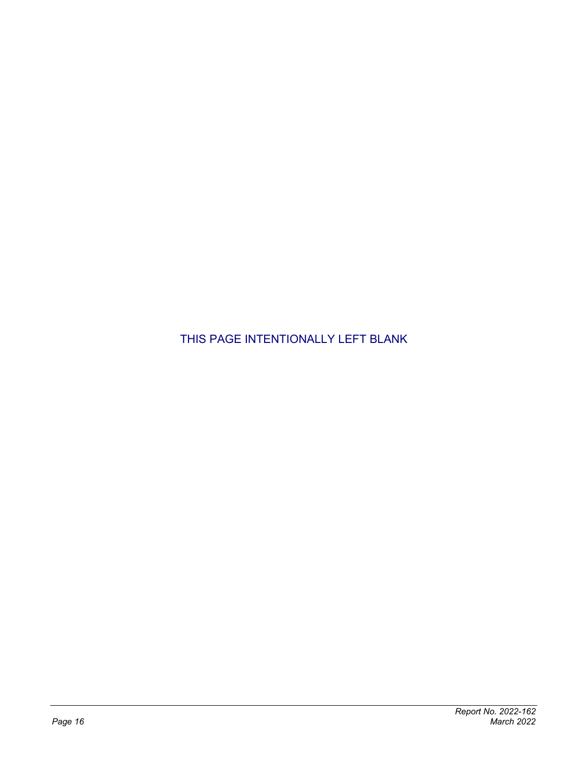THIS PAGE INTENTIONALLY LEFT BLANK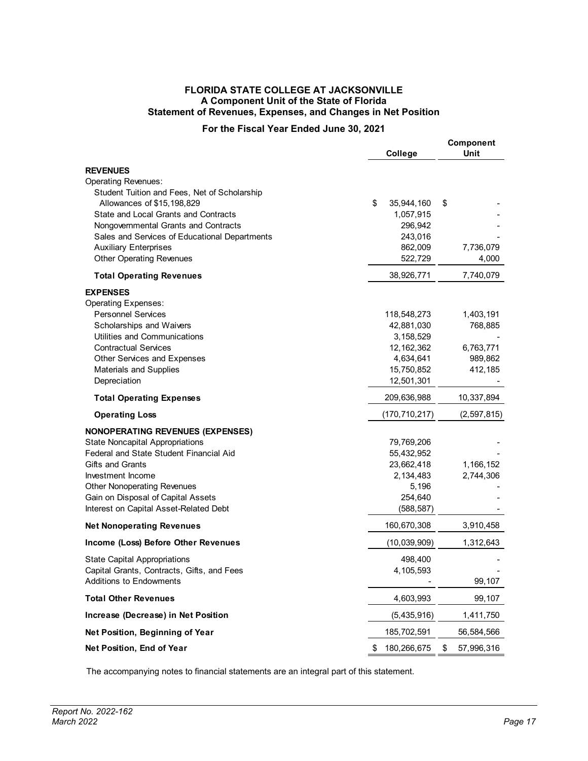### **FLORIDA STATE COLLEGE AT JACKSONVILLE A Component Unit of the State of Florida Statement of Revenues, Expenses, and Changes in Net Position**

### **For the Fiscal Year Ended June 30, 2021**

<span id="page-20-0"></span>

|                                                                                                                                                                                                                                                                                             |    |                                                                                       | Component                |
|---------------------------------------------------------------------------------------------------------------------------------------------------------------------------------------------------------------------------------------------------------------------------------------------|----|---------------------------------------------------------------------------------------|--------------------------|
|                                                                                                                                                                                                                                                                                             |    | College                                                                               | Unit                     |
| <b>REVENUES</b><br><b>Operating Revenues:</b><br>Student Tuition and Fees, Net of Scholarship<br>Allowances of \$15,198,829                                                                                                                                                                 | \$ | 35,944,160                                                                            | \$                       |
| State and Local Grants and Contracts                                                                                                                                                                                                                                                        |    | 1,057,915                                                                             |                          |
| Nongovernmental Grants and Contracts                                                                                                                                                                                                                                                        |    | 296,942                                                                               |                          |
| Sales and Services of Educational Departments                                                                                                                                                                                                                                               |    | 243,016                                                                               |                          |
| <b>Auxiliary Enterprises</b>                                                                                                                                                                                                                                                                |    | 862,009                                                                               | 7,736,079                |
| <b>Other Operating Revenues</b>                                                                                                                                                                                                                                                             |    | 522,729                                                                               | 4,000                    |
| <b>Total Operating Revenues</b>                                                                                                                                                                                                                                                             |    | 38,926,771                                                                            | 7,740,079                |
| <b>EXPENSES</b><br><b>Operating Expenses:</b>                                                                                                                                                                                                                                               |    |                                                                                       |                          |
| <b>Personnel Services</b>                                                                                                                                                                                                                                                                   |    | 118,548,273                                                                           | 1,403,191                |
| Scholarships and Waivers<br>Utilities and Communications                                                                                                                                                                                                                                    |    | 42,881,030                                                                            | 768,885                  |
| <b>Contractual Services</b>                                                                                                                                                                                                                                                                 |    | 3,158,529<br>12, 162, 362                                                             | 6,763,771                |
| Other Services and Expenses                                                                                                                                                                                                                                                                 |    | 4,634,641                                                                             | 989,862                  |
| <b>Materials and Supplies</b>                                                                                                                                                                                                                                                               |    | 15,750,852                                                                            | 412,185                  |
| Depreciation                                                                                                                                                                                                                                                                                |    | 12,501,301                                                                            |                          |
| <b>Total Operating Expenses</b>                                                                                                                                                                                                                                                             |    | 209,636,988                                                                           | 10,337,894               |
| <b>Operating Loss</b>                                                                                                                                                                                                                                                                       |    | (170,710,217)                                                                         | (2, 597, 815)            |
| <b>NONOPERATING REVENUES (EXPENSES)</b><br><b>State Noncapital Appropriations</b><br>Federal and State Student Financial Aid<br>Gifts and Grants<br>Investment Income<br><b>Other Nonoperating Revenues</b><br>Gain on Disposal of Capital Assets<br>Interest on Capital Asset-Related Debt |    | 79,769,206<br>55,432,952<br>23,662,418<br>2,134,483<br>5,196<br>254,640<br>(588, 587) | 1, 166, 152<br>2,744,306 |
| <b>Net Nonoperating Revenues</b>                                                                                                                                                                                                                                                            |    | 160,670,308                                                                           | 3,910,458                |
| Income (Loss) Before Other Revenues                                                                                                                                                                                                                                                         |    | (10,039,909)                                                                          | 1,312,643                |
| <b>State Capital Appropriations</b><br>Capital Grants, Contracts, Gifts, and Fees<br>Additions to Endowments                                                                                                                                                                                |    | 498,400<br>4,105,593                                                                  | 99,107                   |
| <b>Total Other Revenues</b>                                                                                                                                                                                                                                                                 |    | 4,603,993                                                                             | 99,107                   |
| Increase (Decrease) in Net Position                                                                                                                                                                                                                                                         |    | (5,435,916)                                                                           | 1,411,750                |
| Net Position, Beginning of Year                                                                                                                                                                                                                                                             |    | 185,702,591                                                                           | 56,584,566               |
| Net Position, End of Year                                                                                                                                                                                                                                                                   | S  | 180,266,675                                                                           | \$<br>57,996,316         |
|                                                                                                                                                                                                                                                                                             |    |                                                                                       |                          |

The accompanying notes to financial statements are an integral part of this statement.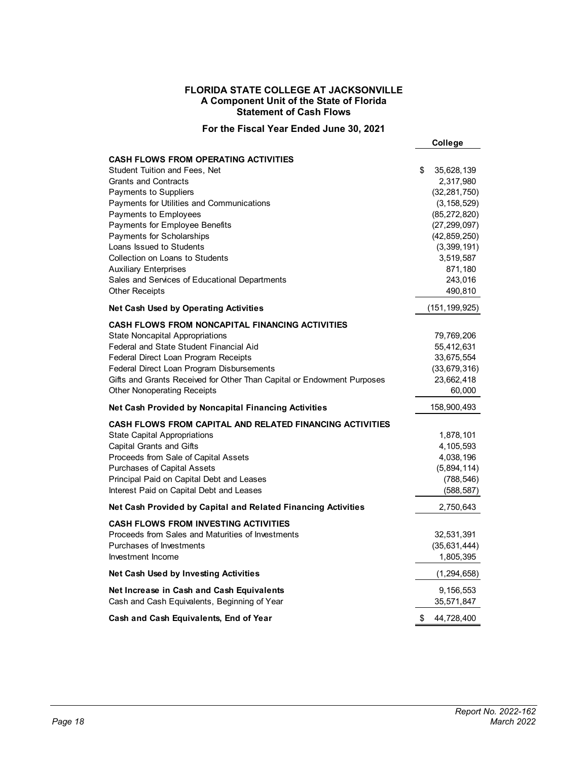### **FLORIDA STATE COLLEGE AT JACKSONVILLE A Component Unit of the State of Florida Statement of Cash Flows**

**For the Fiscal Year Ended June 30, 2021** 

<span id="page-21-0"></span>

|                                                                        | College          |
|------------------------------------------------------------------------|------------------|
| <b>CASH FLOWS FROM OPERATING ACTIVITIES</b>                            |                  |
| <b>Student Tuition and Fees. Net</b>                                   | \$<br>35,628,139 |
| <b>Grants and Contracts</b>                                            | 2,317,980        |
| Payments to Suppliers                                                  | (32, 281, 750)   |
| Payments for Utilities and Communications                              | (3, 158, 529)    |
| Payments to Employees                                                  | (85, 272, 820)   |
| Payments for Employee Benefits                                         | (27, 299, 097)   |
| Payments for Scholarships                                              | (42, 859, 250)   |
| Loans Issued to Students                                               | (3,399,191)      |
| Collection on Loans to Students                                        | 3,519,587        |
| <b>Auxiliary Enterprises</b>                                           | 871,180          |
| Sales and Services of Educational Departments                          | 243,016          |
| <b>Other Receipts</b>                                                  | 490,810          |
| <b>Net Cash Used by Operating Activities</b>                           | (151, 199, 925)  |
| <b>CASH FLOWS FROM NONCAPITAL FINANCING ACTIVITIES</b>                 |                  |
| <b>State Noncapital Appropriations</b>                                 | 79,769,206       |
| Federal and State Student Financial Aid                                | 55,412,631       |
| Federal Direct Loan Program Receipts                                   | 33,675,554       |
| Federal Direct Loan Program Disbursements                              | (33,679,316)     |
| Gifts and Grants Received for Other Than Capital or Endowment Purposes | 23,662,418       |
| <b>Other Nonoperating Receipts</b>                                     | 60,000           |
| Net Cash Provided by Noncapital Financing Activities                   | 158,900,493      |
| <b>CASH FLOWS FROM CAPITAL AND RELATED FINANCING ACTIVITIES</b>        |                  |
| <b>State Capital Appropriations</b>                                    | 1,878,101        |
| <b>Capital Grants and Gifts</b>                                        | 4,105,593        |
| Proceeds from Sale of Capital Assets                                   | 4,038,196        |
| Purchases of Capital Assets                                            | (5,894,114)      |
| Principal Paid on Capital Debt and Leases                              | (788, 546)       |
| Interest Paid on Capital Debt and Leases                               | (588, 587)       |
| Net Cash Provided by Capital and Related Financing Activities          | 2,750,643        |
| <b>CASH FLOWS FROM INVESTING ACTIVITIES</b>                            |                  |
| Proceeds from Sales and Maturities of Investments                      | 32,531,391       |
| Purchases of Investments                                               | (35, 631, 444)   |
| Investment Income                                                      | 1,805,395        |
| <b>Net Cash Used by Investing Activities</b>                           | (1, 294, 658)    |
| Net Increase in Cash and Cash Equivalents                              | 9,156,553        |
| Cash and Cash Equivalents, Beginning of Year                           | 35,571,847       |
| Cash and Cash Equivalents, End of Year                                 | \$<br>44,728,400 |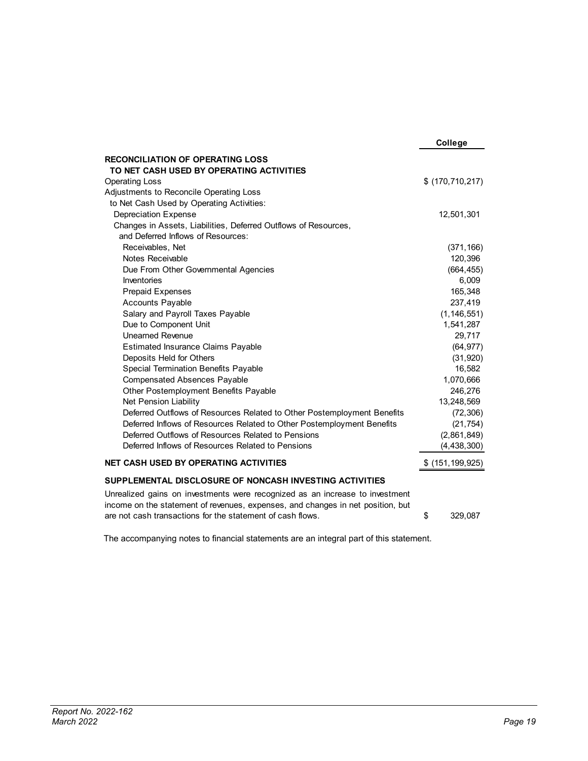|                                                                         | College             |
|-------------------------------------------------------------------------|---------------------|
| <b>RECONCILIATION OF OPERATING LOSS</b>                                 |                     |
| TO NET CASH USED BY OPERATING ACTIVITIES                                |                     |
| <b>Operating Loss</b>                                                   | \$ (170, 710, 217)  |
| Adjustments to Reconcile Operating Loss                                 |                     |
| to Net Cash Used by Operating Activities:                               |                     |
| <b>Depreciation Expense</b>                                             | 12,501,301          |
| Changes in Assets, Liabilities, Deferred Outflows of Resources,         |                     |
| and Deferred Inflows of Resources:                                      |                     |
| Receivables, Net                                                        | (371, 166)          |
| Notes Receivable                                                        | 120,396             |
| Due From Other Governmental Agencies                                    | (664, 455)          |
| Inventories                                                             | 6,009               |
| <b>Prepaid Expenses</b>                                                 | 165,348             |
| <b>Accounts Payable</b>                                                 | 237,419             |
| Salary and Payroll Taxes Payable                                        | (1, 146, 551)       |
| Due to Component Unit                                                   | 1,541,287           |
| <b>Unearned Revenue</b>                                                 | 29,717              |
| <b>Estimated Insurance Claims Payable</b>                               | (64, 977)           |
| Deposits Held for Others                                                | (31, 920)           |
| <b>Special Termination Benefits Payable</b>                             | 16,582              |
| <b>Compensated Absences Payable</b>                                     | 1,070,666           |
| Other Postemployment Benefits Payable                                   | 246,276             |
| Net Pension Liability                                                   | 13,248,569          |
| Deferred Outflows of Resources Related to Other Postemployment Benefits | (72, 306)           |
| Deferred Inflows of Resources Related to Other Postemployment Benefits  | (21, 754)           |
| Deferred Outflows of Resources Related to Pensions                      | (2,861,849)         |
| Deferred Inflows of Resources Related to Pensions                       | (4, 438, 300)       |
| <b>NET CASH USED BY OPERATING ACTIVITIES</b>                            | $$$ (151, 199, 925) |
| SUPPLEMENTAL DISCLOSURE OF NONCASH INVESTING ACTIVITIES                 |                     |

\$ 329,087 Unrealized gains on investments were recognized as an increase to investment income on the statement of revenues, expenses, and changes in net position, but are not cash transactions for the statement of cash flows.

The accompanying notes to financial statements are an integral part of this statement.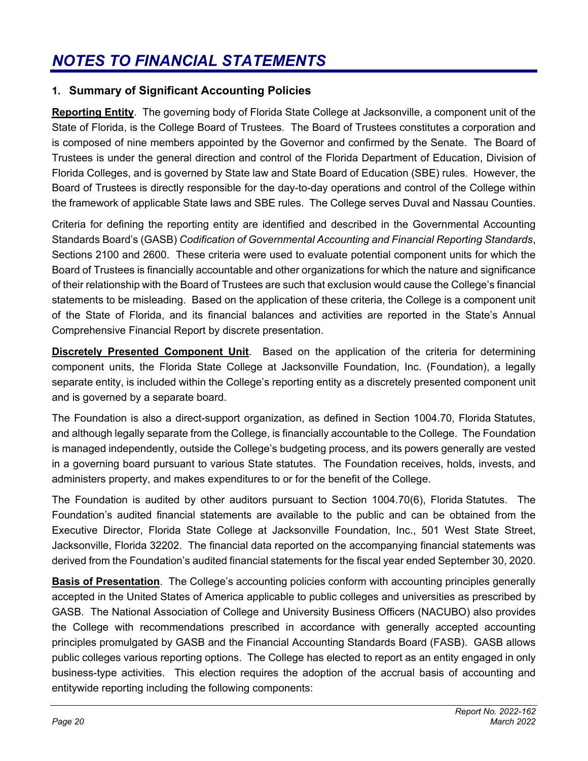# <span id="page-23-0"></span>*NOTES TO FINANCIAL STATEMENTS*

# **1. Summary of Significant Accounting Policies**

**Reporting Entity**. The governing body of Florida State College at Jacksonville, a component unit of the State of Florida, is the College Board of Trustees. The Board of Trustees constitutes a corporation and is composed of nine members appointed by the Governor and confirmed by the Senate. The Board of Trustees is under the general direction and control of the Florida Department of Education, Division of Florida Colleges, and is governed by State law and State Board of Education (SBE) rules. However, the Board of Trustees is directly responsible for the day-to-day operations and control of the College within the framework of applicable State laws and SBE rules. The College serves Duval and Nassau Counties.

Criteria for defining the reporting entity are identified and described in the Governmental Accounting Standards Board's (GASB) *Codification of Governmental Accounting and Financial Reporting Standards*, Sections 2100 and 2600. These criteria were used to evaluate potential component units for which the Board of Trustees is financially accountable and other organizations for which the nature and significance of their relationship with the Board of Trustees are such that exclusion would cause the College's financial statements to be misleading. Based on the application of these criteria, the College is a component unit of the State of Florida, and its financial balances and activities are reported in the State's Annual Comprehensive Financial Report by discrete presentation.

**Discretely Presented Component Unit**. Based on the application of the criteria for determining component units, the Florida State College at Jacksonville Foundation, Inc. (Foundation), a legally separate entity, is included within the College's reporting entity as a discretely presented component unit and is governed by a separate board.

The Foundation is also a direct-support organization, as defined in Section 1004.70, Florida Statutes, and although legally separate from the College, is financially accountable to the College. The Foundation is managed independently, outside the College's budgeting process, and its powers generally are vested in a governing board pursuant to various State statutes. The Foundation receives, holds, invests, and administers property, and makes expenditures to or for the benefit of the College.

The Foundation is audited by other auditors pursuant to Section 1004.70(6), Florida Statutes. The Foundation's audited financial statements are available to the public and can be obtained from the Executive Director, Florida State College at Jacksonville Foundation, Inc., 501 West State Street, Jacksonville, Florida 32202. The financial data reported on the accompanying financial statements was derived from the Foundation's audited financial statements for the fiscal year ended September 30, 2020.

**Basis of Presentation**. The College's accounting policies conform with accounting principles generally accepted in the United States of America applicable to public colleges and universities as prescribed by GASB. The National Association of College and University Business Officers (NACUBO) also provides the College with recommendations prescribed in accordance with generally accepted accounting principles promulgated by GASB and the Financial Accounting Standards Board (FASB). GASB allows public colleges various reporting options. The College has elected to report as an entity engaged in only business-type activities. This election requires the adoption of the accrual basis of accounting and entitywide reporting including the following components: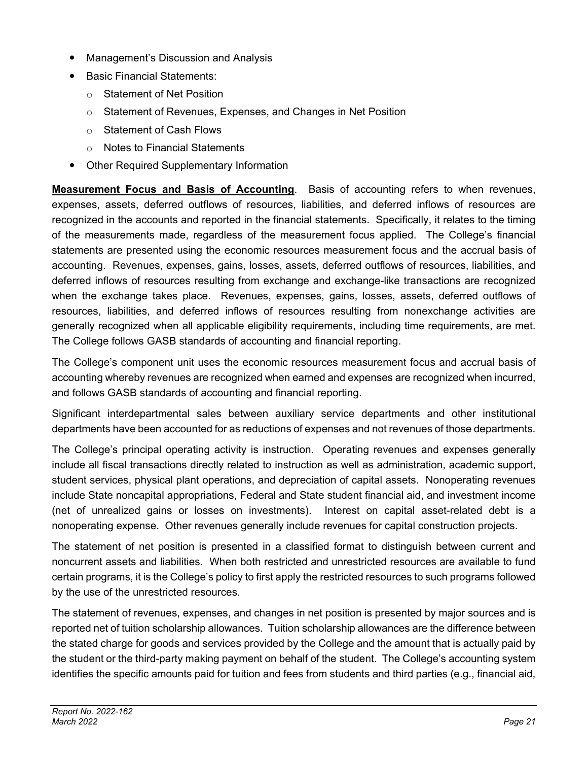- Management's Discussion and Analysis
- Basic Financial Statements:
	- **Statement of Net Position**
	- o Statement of Revenues, Expenses, and Changes in Net Position
	- o Statement of Cash Flows
	- o Notes to Financial Statements
- Other Required Supplementary Information

**Measurement Focus and Basis of Accounting**. Basis of accounting refers to when revenues, expenses, assets, deferred outflows of resources, liabilities, and deferred inflows of resources are recognized in the accounts and reported in the financial statements. Specifically, it relates to the timing of the measurements made, regardless of the measurement focus applied. The College's financial statements are presented using the economic resources measurement focus and the accrual basis of accounting. Revenues, expenses, gains, losses, assets, deferred outflows of resources, liabilities, and deferred inflows of resources resulting from exchange and exchange-like transactions are recognized when the exchange takes place. Revenues, expenses, gains, losses, assets, deferred outflows of resources, liabilities, and deferred inflows of resources resulting from nonexchange activities are generally recognized when all applicable eligibility requirements, including time requirements, are met. The College follows GASB standards of accounting and financial reporting.

The College's component unit uses the economic resources measurement focus and accrual basis of accounting whereby revenues are recognized when earned and expenses are recognized when incurred, and follows GASB standards of accounting and financial reporting.

Significant interdepartmental sales between auxiliary service departments and other institutional departments have been accounted for as reductions of expenses and not revenues of those departments.

The College's principal operating activity is instruction. Operating revenues and expenses generally include all fiscal transactions directly related to instruction as well as administration, academic support, student services, physical plant operations, and depreciation of capital assets. Nonoperating revenues include State noncapital appropriations, Federal and State student financial aid, and investment income (net of unrealized gains or losses on investments). Interest on capital asset-related debt is a nonoperating expense. Other revenues generally include revenues for capital construction projects.

The statement of net position is presented in a classified format to distinguish between current and noncurrent assets and liabilities. When both restricted and unrestricted resources are available to fund certain programs, it is the College's policy to first apply the restricted resources to such programs followed by the use of the unrestricted resources.

The statement of revenues, expenses, and changes in net position is presented by major sources and is reported net of tuition scholarship allowances. Tuition scholarship allowances are the difference between the stated charge for goods and services provided by the College and the amount that is actually paid by the student or the third-party making payment on behalf of the student. The College's accounting system identifies the specific amounts paid for tuition and fees from students and third parties (e.g., financial aid,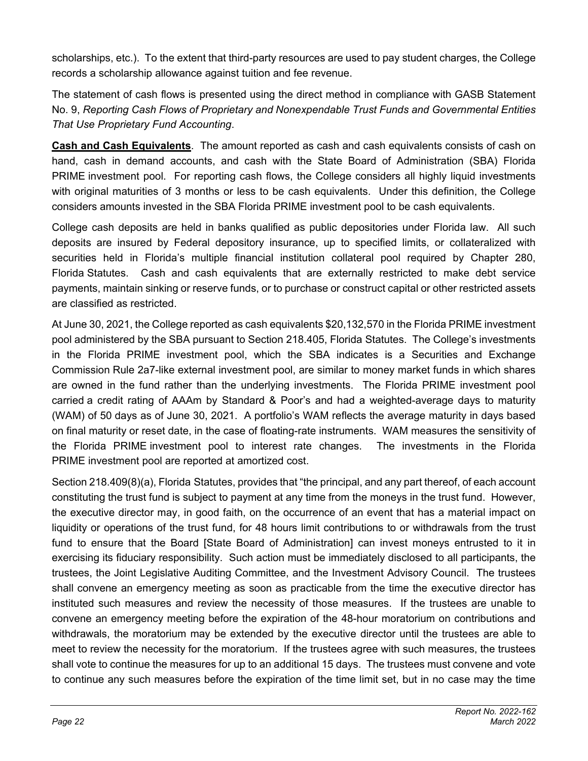scholarships, etc.). To the extent that third-party resources are used to pay student charges, the College records a scholarship allowance against tuition and fee revenue.

The statement of cash flows is presented using the direct method in compliance with GASB Statement No. 9, *Reporting Cash Flows of Proprietary and Nonexpendable Trust Funds and Governmental Entities That Use Proprietary Fund Accounting*.

**Cash and Cash Equivalents**. The amount reported as cash and cash equivalents consists of cash on hand, cash in demand accounts, and cash with the State Board of Administration (SBA) Florida PRIME investment pool. For reporting cash flows, the College considers all highly liquid investments with original maturities of 3 months or less to be cash equivalents. Under this definition, the College considers amounts invested in the SBA Florida PRIME investment pool to be cash equivalents.

College cash deposits are held in banks qualified as public depositories under Florida law. All such deposits are insured by Federal depository insurance, up to specified limits, or collateralized with securities held in Florida's multiple financial institution collateral pool required by Chapter 280, Florida Statutes. Cash and cash equivalents that are externally restricted to make debt service payments, maintain sinking or reserve funds, or to purchase or construct capital or other restricted assets are classified as restricted.

At June 30, 2021, the College reported as cash equivalents \$20,132,570 in the Florida PRIME investment pool administered by the SBA pursuant to Section 218.405, Florida Statutes. The College's investments in the Florida PRIME investment pool, which the SBA indicates is a Securities and Exchange Commission Rule 2a7-like external investment pool, are similar to money market funds in which shares are owned in the fund rather than the underlying investments. The Florida PRIME investment pool carried a credit rating of AAAm by Standard & Poor's and had a weighted-average days to maturity (WAM) of 50 days as of June 30, 2021. A portfolio's WAM reflects the average maturity in days based on final maturity or reset date, in the case of floating-rate instruments. WAM measures the sensitivity of the Florida PRIME investment pool to interest rate changes. The investments in the Florida PRIME investment pool are reported at amortized cost.

Section 218.409(8)(a), Florida Statutes, provides that "the principal, and any part thereof, of each account constituting the trust fund is subject to payment at any time from the moneys in the trust fund. However, the executive director may, in good faith, on the occurrence of an event that has a material impact on liquidity or operations of the trust fund, for 48 hours limit contributions to or withdrawals from the trust fund to ensure that the Board [State Board of Administration] can invest moneys entrusted to it in exercising its fiduciary responsibility. Such action must be immediately disclosed to all participants, the trustees, the Joint Legislative Auditing Committee, and the Investment Advisory Council. The trustees shall convene an emergency meeting as soon as practicable from the time the executive director has instituted such measures and review the necessity of those measures. If the trustees are unable to convene an emergency meeting before the expiration of the 48-hour moratorium on contributions and withdrawals, the moratorium may be extended by the executive director until the trustees are able to meet to review the necessity for the moratorium. If the trustees agree with such measures, the trustees shall vote to continue the measures for up to an additional 15 days. The trustees must convene and vote to continue any such measures before the expiration of the time limit set, but in no case may the time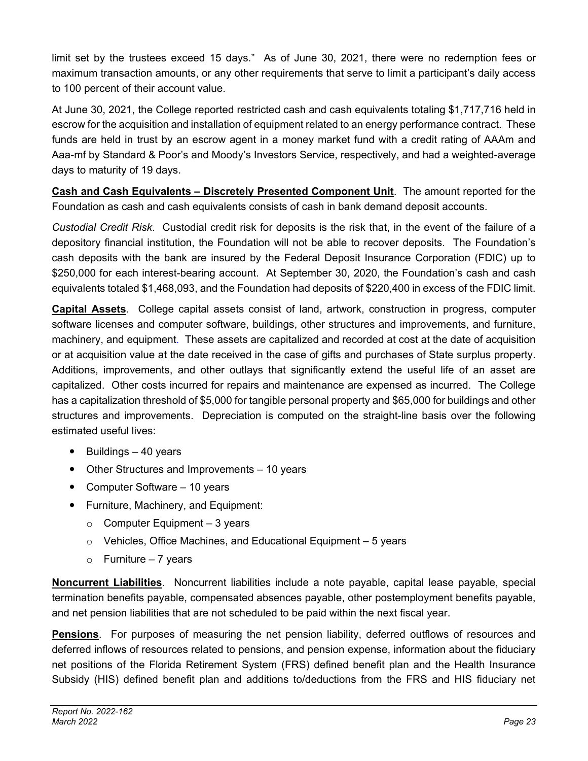limit set by the trustees exceed 15 days." As of June 30, 2021, there were no redemption fees or maximum transaction amounts, or any other requirements that serve to limit a participant's daily access to 100 percent of their account value.

At June 30, 2021, the College reported restricted cash and cash equivalents totaling \$1,717,716 held in escrow for the acquisition and installation of equipment related to an energy performance contract. These funds are held in trust by an escrow agent in a money market fund with a credit rating of AAAm and Aaa-mf by Standard & Poor's and Moody's Investors Service, respectively, and had a weighted-average days to maturity of 19 days.

**Cash and Cash Equivalents – Discretely Presented Component Unit**. The amount reported for the Foundation as cash and cash equivalents consists of cash in bank demand deposit accounts.

*Custodial Credit Risk*. Custodial credit risk for deposits is the risk that, in the event of the failure of a depository financial institution, the Foundation will not be able to recover deposits. The Foundation's cash deposits with the bank are insured by the Federal Deposit Insurance Corporation (FDIC) up to \$250,000 for each interest-bearing account. At September 30, 2020, the Foundation's cash and cash equivalents totaled \$1,468,093, and the Foundation had deposits of \$220,400 in excess of the FDIC limit.

**Capital Assets**. College capital assets consist of land, artwork, construction in progress, computer software licenses and computer software, buildings, other structures and improvements, and furniture, machinery, and equipment. These assets are capitalized and recorded at cost at the date of acquisition or at acquisition value at the date received in the case of gifts and purchases of State surplus property. Additions, improvements, and other outlays that significantly extend the useful life of an asset are capitalized. Other costs incurred for repairs and maintenance are expensed as incurred. The College has a capitalization threshold of \$5,000 for tangible personal property and \$65,000 for buildings and other structures and improvements. Depreciation is computed on the straight-line basis over the following estimated useful lives:

- $\bullet$  Buildings  $-$  40 years
- Other Structures and Improvements 10 years
- Computer Software 10 years
- Furniture, Machinery, and Equipment:
	- $\circ$  Computer Equipment 3 years
	- $\circ$  Vehicles, Office Machines, and Educational Equipment 5 years
	- $\circ$  Furniture 7 years

**Noncurrent Liabilities**. Noncurrent liabilities include a note payable, capital lease payable, special termination benefits payable, compensated absences payable, other postemployment benefits payable, and net pension liabilities that are not scheduled to be paid within the next fiscal year.

**Pensions**. For purposes of measuring the net pension liability, deferred outflows of resources and deferred inflows of resources related to pensions, and pension expense, information about the fiduciary net positions of the Florida Retirement System (FRS) defined benefit plan and the Health Insurance Subsidy (HIS) defined benefit plan and additions to/deductions from the FRS and HIS fiduciary net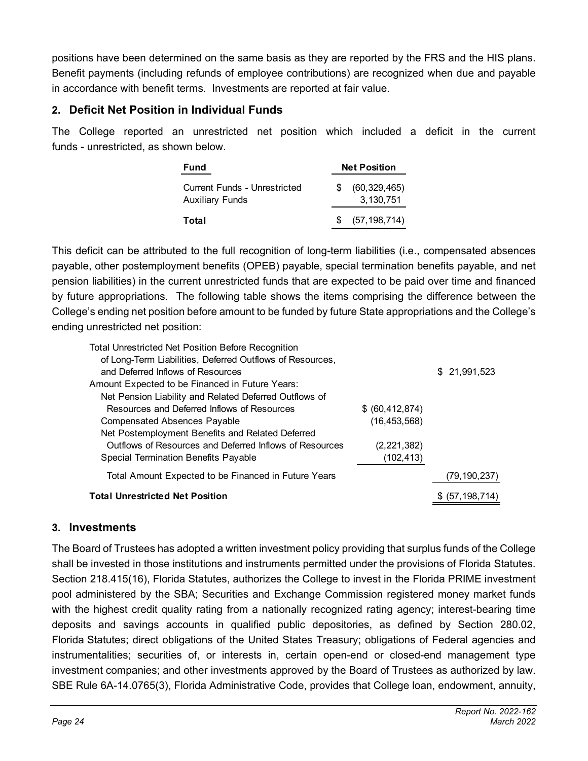positions have been determined on the same basis as they are reported by the FRS and the HIS plans. Benefit payments (including refunds of employee contributions) are recognized when due and payable in accordance with benefit terms. Investments are reported at fair value.

# **2. Deficit Net Position in Individual Funds**

The College reported an unrestricted net position which included a deficit in the current funds - unrestricted, as shown below.

| Fund                                                          | <b>Net Position</b> |                             |  |  |
|---------------------------------------------------------------|---------------------|-----------------------------|--|--|
| <b>Current Funds - Unrestricted</b><br><b>Auxiliary Funds</b> |                     | (60, 329, 465)<br>3,130,751 |  |  |
| Total                                                         |                     | (57, 198, 714)              |  |  |

This deficit can be attributed to the full recognition of long-term liabilities (i.e., compensated absences payable, other postemployment benefits (OPEB) payable, special termination benefits payable, and net pension liabilities) in the current unrestricted funds that are expected to be paid over time and financed by future appropriations. The following table shows the items comprising the difference between the College's ending net position before amount to be funded by future State appropriations and the College's ending unrestricted net position:

| <b>Total Unrestricted Net Position Before Recognition</b> |                   |                   |
|-----------------------------------------------------------|-------------------|-------------------|
| of Long-Term Liabilities, Deferred Outflows of Resources, |                   |                   |
| and Deferred Inflows of Resources                         |                   | \$21,991,523      |
| Amount Expected to be Financed in Future Years:           |                   |                   |
| Net Pension Liability and Related Deferred Outflows of    |                   |                   |
| Resources and Deferred Inflows of Resources               | \$ (60, 412, 874) |                   |
| Compensated Absences Payable                              | (16, 453, 568)    |                   |
| Net Postemployment Benefits and Related Deferred          |                   |                   |
| Outflows of Resources and Deferred Inflows of Resources   | (2,221,382)       |                   |
| Special Termination Benefits Payable                      | (102,413)         |                   |
| Total Amount Expected to be Financed in Future Years      |                   | (79,190,237)      |
| <b>Total Unrestricted Net Position</b>                    |                   | \$ (57, 198, 714) |

# **3. Investments**

The Board of Trustees has adopted a written investment policy providing that surplus funds of the College shall be invested in those institutions and instruments permitted under the provisions of Florida Statutes. Section 218.415(16), Florida Statutes, authorizes the College to invest in the Florida PRIME investment pool administered by the SBA; Securities and Exchange Commission registered money market funds with the highest credit quality rating from a nationally recognized rating agency; interest-bearing time deposits and savings accounts in qualified public depositories, as defined by Section 280.02, Florida Statutes; direct obligations of the United States Treasury; obligations of Federal agencies and instrumentalities; securities of, or interests in, certain open-end or closed-end management type investment companies; and other investments approved by the Board of Trustees as authorized by law. SBE Rule 6A-14.0765(3), Florida Administrative Code, provides that College loan, endowment, annuity,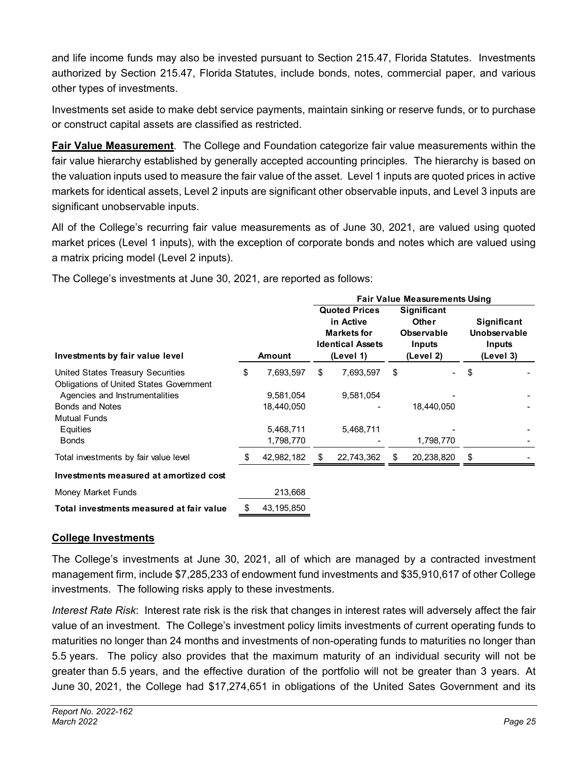and life income funds may also be invested pursuant to Section 215.47, Florida Statutes. Investments authorized by Section 215.47, Florida Statutes, include bonds, notes, commercial paper, and various other types of investments.

Investments set aside to make debt service payments, maintain sinking or reserve funds, or to purchase or construct capital assets are classified as restricted.

**Fair Value Measurement**. The College and Foundation categorize fair value measurements within the fair value hierarchy established by generally accepted accounting principles. The hierarchy is based on the valuation inputs used to measure the fair value of the asset. Level 1 inputs are quoted prices in active markets for identical assets, Level 2 inputs are significant other observable inputs, and Level 3 inputs are significant unobservable inputs.

All of the College's recurring fair value measurements as of June 30, 2021, are valued using quoted market prices (Level 1 inputs), with the exception of corporate bonds and notes which are valued using a matrix pricing model (Level 2 inputs).

|                                                                                                                                   |    |                         | <b>Fair Value Measurements Using</b> |                                                                                                 |    |                                                                  |                                                                  |  |
|-----------------------------------------------------------------------------------------------------------------------------------|----|-------------------------|--------------------------------------|-------------------------------------------------------------------------------------------------|----|------------------------------------------------------------------|------------------------------------------------------------------|--|
| Investments by fair value level                                                                                                   |    | <b>Amount</b>           |                                      | <b>Quoted Prices</b><br>in Active<br><b>Markets for</b><br><b>Identical Assets</b><br>(Level 1) |    | Significant<br><b>Other</b><br>Observable<br>Inputs<br>(Level 2) | <b>Significant</b><br><b>Unobservable</b><br>Inputs<br>(Level 3) |  |
| United States Treasury Securities                                                                                                 | \$ | 7,693,597               | \$                                   | 7,693,597                                                                                       | \$ |                                                                  | -\$                                                              |  |
| <b>Obligations of United States Government</b><br>Agencies and Instrumentalities<br><b>Bonds and Notes</b><br><b>Mutual Funds</b> |    | 9,581,054<br>18,440,050 |                                      | 9,581,054                                                                                       |    | 18,440,050                                                       |                                                                  |  |
| Equities<br><b>Bonds</b>                                                                                                          |    | 5,468,711<br>1,798,770  |                                      | 5,468,711                                                                                       |    | 1,798,770                                                        |                                                                  |  |
| Total investments by fair value level                                                                                             | S  | 42,982,182              | S                                    | 22,743,362                                                                                      | S  | 20,238,820                                                       | -\$                                                              |  |
| Investments measured at amortized cost                                                                                            |    |                         |                                      |                                                                                                 |    |                                                                  |                                                                  |  |
| Money Market Funds                                                                                                                |    | 213,668                 |                                      |                                                                                                 |    |                                                                  |                                                                  |  |
| Total investments measured at fair value                                                                                          | \$ | 43,195,850              |                                      |                                                                                                 |    |                                                                  |                                                                  |  |

The College's investments at June 30, 2021, are reported as follows:

# **College Investments**

The College's investments at June 30, 2021, all of which are managed by a contracted investment management firm, include \$7,285,233 of endowment fund investments and \$35,910,617 of other College investments. The following risks apply to these investments.

*Interest Rate Risk*: Interest rate risk is the risk that changes in interest rates will adversely affect the fair value of an investment. The College's investment policy limits investments of current operating funds to maturities no longer than 24 months and investments of non-operating funds to maturities no longer than 5.5 years. The policy also provides that the maximum maturity of an individual security will not be greater than 5.5 years, and the effective duration of the portfolio will not be greater than 3 years. At June 30, 2021, the College had \$17,274,651 in obligations of the United Sates Government and its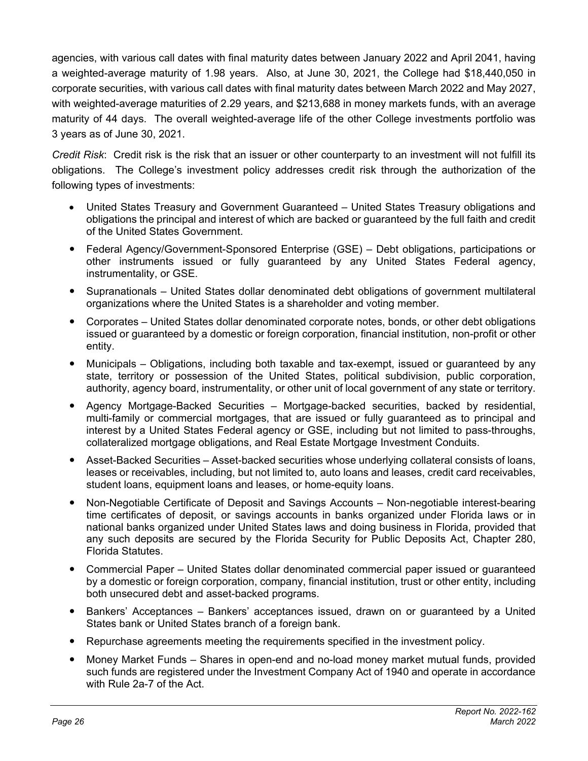agencies, with various call dates with final maturity dates between January 2022 and April 2041, having a weighted-average maturity of 1.98 years. Also, at June 30, 2021, the College had \$18,440,050 in corporate securities, with various call dates with final maturity dates between March 2022 and May 2027, with weighted-average maturities of 2.29 years, and \$213,688 in money markets funds, with an average maturity of 44 days. The overall weighted-average life of the other College investments portfolio was 3 years as of June 30, 2021.

*Credit Risk*: Credit risk is the risk that an issuer or other counterparty to an investment will not fulfill its obligations. The College's investment policy addresses credit risk through the authorization of the following types of investments:

- United States Treasury and Government Guaranteed United States Treasury obligations and obligations the principal and interest of which are backed or guaranteed by the full faith and credit of the United States Government.
- Federal Agency/Government-Sponsored Enterprise (GSE) Debt obligations, participations or other instruments issued or fully guaranteed by any United States Federal agency, instrumentality, or GSE.
- Supranationals United States dollar denominated debt obligations of government multilateral organizations where the United States is a shareholder and voting member.
- Corporates United States dollar denominated corporate notes, bonds, or other debt obligations issued or guaranteed by a domestic or foreign corporation, financial institution, non-profit or other entity.
- Municipals Obligations, including both taxable and tax-exempt, issued or guaranteed by any state, territory or possession of the United States, political subdivision, public corporation, authority, agency board, instrumentality, or other unit of local government of any state or territory.
- Agency Mortgage-Backed Securities Mortgage-backed securities, backed by residential, multi-family or commercial mortgages, that are issued or fully guaranteed as to principal and interest by a United States Federal agency or GSE, including but not limited to pass-throughs, collateralized mortgage obligations, and Real Estate Mortgage Investment Conduits.
- Asset-Backed Securities Asset-backed securities whose underlying collateral consists of loans, leases or receivables, including, but not limited to, auto loans and leases, credit card receivables, student loans, equipment loans and leases, or home-equity loans.
- Non-Negotiable Certificate of Deposit and Savings Accounts Non-negotiable interest-bearing time certificates of deposit, or savings accounts in banks organized under Florida laws or in national banks organized under United States laws and doing business in Florida, provided that any such deposits are secured by the Florida Security for Public Deposits Act, Chapter 280, Florida Statutes.
- Commercial Paper United States dollar denominated commercial paper issued or guaranteed by a domestic or foreign corporation, company, financial institution, trust or other entity, including both unsecured debt and asset-backed programs.
- Bankers' Acceptances Bankers' acceptances issued, drawn on or guaranteed by a United States bank or United States branch of a foreign bank.
- Repurchase agreements meeting the requirements specified in the investment policy.
- Money Market Funds Shares in open-end and no-load money market mutual funds, provided such funds are registered under the Investment Company Act of 1940 and operate in accordance with Rule 2a-7 of the Act.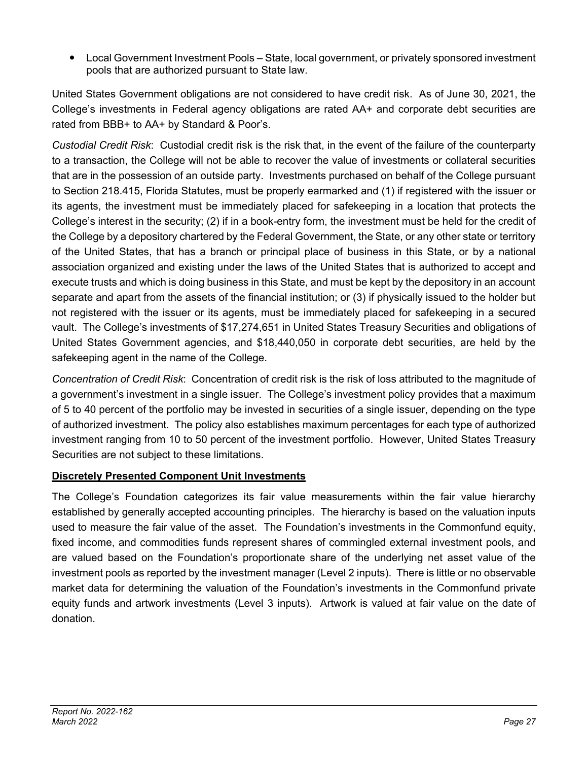Local Government Investment Pools – State, local government, or privately sponsored investment pools that are authorized pursuant to State law.

United States Government obligations are not considered to have credit risk. As of June 30, 2021, the College's investments in Federal agency obligations are rated AA+ and corporate debt securities are rated from BBB+ to AA+ by Standard & Poor's.

*Custodial Credit Risk*: Custodial credit risk is the risk that, in the event of the failure of the counterparty to a transaction, the College will not be able to recover the value of investments or collateral securities that are in the possession of an outside party. Investments purchased on behalf of the College pursuant to Section 218.415, Florida Statutes, must be properly earmarked and (1) if registered with the issuer or its agents, the investment must be immediately placed for safekeeping in a location that protects the College's interest in the security; (2) if in a book-entry form, the investment must be held for the credit of the College by a depository chartered by the Federal Government, the State, or any other state or territory of the United States, that has a branch or principal place of business in this State, or by a national association organized and existing under the laws of the United States that is authorized to accept and execute trusts and which is doing business in this State, and must be kept by the depository in an account separate and apart from the assets of the financial institution; or (3) if physically issued to the holder but not registered with the issuer or its agents, must be immediately placed for safekeeping in a secured vault. The College's investments of \$17,274,651 in United States Treasury Securities and obligations of United States Government agencies, and \$18,440,050 in corporate debt securities, are held by the safekeeping agent in the name of the College.

*Concentration of Credit Risk*: Concentration of credit risk is the risk of loss attributed to the magnitude of a government's investment in a single issuer. The College's investment policy provides that a maximum of 5 to 40 percent of the portfolio may be invested in securities of a single issuer, depending on the type of authorized investment. The policy also establishes maximum percentages for each type of authorized investment ranging from 10 to 50 percent of the investment portfolio. However, United States Treasury Securities are not subject to these limitations.

# **Discretely Presented Component Unit Investments**

The College's Foundation categorizes its fair value measurements within the fair value hierarchy established by generally accepted accounting principles. The hierarchy is based on the valuation inputs used to measure the fair value of the asset. The Foundation's investments in the Commonfund equity, fixed income, and commodities funds represent shares of commingled external investment pools, and are valued based on the Foundation's proportionate share of the underlying net asset value of the investment pools as reported by the investment manager (Level 2 inputs). There is little or no observable market data for determining the valuation of the Foundation's investments in the Commonfund private equity funds and artwork investments (Level 3 inputs). Artwork is valued at fair value on the date of donation.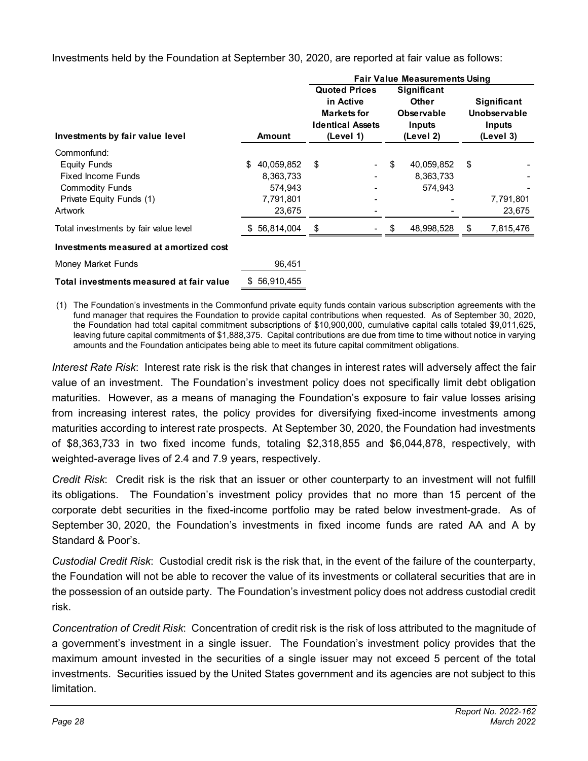Investments held by the Foundation at September 30, 2020, are reported at fair value as follows:

|                                          |                  | <b>Fair Value Measurements Using</b> |                                                                                                 |    |                                                                                |    |                                                                  |
|------------------------------------------|------------------|--------------------------------------|-------------------------------------------------------------------------------------------------|----|--------------------------------------------------------------------------------|----|------------------------------------------------------------------|
| Investments by fair value level          | <b>Amount</b>    |                                      | <b>Quoted Prices</b><br>in Active<br><b>Markets for</b><br><b>Identical Assets</b><br>(Level 1) |    | <b>Significant</b><br><b>Other</b><br><b>Observable</b><br>Inputs<br>(Level 2) |    | <b>Significant</b><br>Unobservable<br><b>Inputs</b><br>(Level 3) |
| Commonfund:                              |                  |                                      |                                                                                                 |    |                                                                                |    |                                                                  |
| <b>Equity Funds</b>                      | \$<br>40,059,852 | \$                                   |                                                                                                 | \$ | 40,059,852                                                                     | \$ |                                                                  |
| <b>Fixed Income Funds</b>                | 8,363,733        |                                      |                                                                                                 |    | 8,363,733                                                                      |    |                                                                  |
| <b>Commodity Funds</b>                   | 574,943          |                                      |                                                                                                 |    | 574,943                                                                        |    |                                                                  |
| Private Equity Funds (1)                 | 7,791,801        |                                      |                                                                                                 |    |                                                                                |    | 7,791,801                                                        |
| Artwork                                  | 23,675           |                                      |                                                                                                 |    |                                                                                |    | 23,675                                                           |
| Total investments by fair value level    | \$56,814,004     | S                                    |                                                                                                 | S  | 48,998,528                                                                     | \$ | 7,815,476                                                        |
| Investments measured at amortized cost   |                  |                                      |                                                                                                 |    |                                                                                |    |                                                                  |
| Money Market Funds                       | 96,451           |                                      |                                                                                                 |    |                                                                                |    |                                                                  |
| Total investments measured at fair value | \$56,910,455     |                                      |                                                                                                 |    |                                                                                |    |                                                                  |

(1) The Foundation's investments in the Commonfund private equity funds contain various subscription agreements with the fund manager that requires the Foundation to provide capital contributions when requested. As of September 30, 2020, the Foundation had total capital commitment subscriptions of \$10,900,000, cumulative capital calls totaled \$9,011,625, leaving future capital commitments of \$1,888,375. Capital contributions are due from time to time without notice in varying amounts and the Foundation anticipates being able to meet its future capital commitment obligations.

*Interest Rate Risk*: Interest rate risk is the risk that changes in interest rates will adversely affect the fair value of an investment. The Foundation's investment policy does not specifically limit debt obligation maturities. However, as a means of managing the Foundation's exposure to fair value losses arising from increasing interest rates, the policy provides for diversifying fixed-income investments among maturities according to interest rate prospects. At September 30, 2020, the Foundation had investments of \$8,363,733 in two fixed income funds, totaling \$2,318,855 and \$6,044,878, respectively, with weighted-average lives of 2.4 and 7.9 years, respectively.

*Credit Risk*: Credit risk is the risk that an issuer or other counterparty to an investment will not fulfill its obligations. The Foundation's investment policy provides that no more than 15 percent of the corporate debt securities in the fixed-income portfolio may be rated below investment-grade. As of September 30, 2020, the Foundation's investments in fixed income funds are rated AA and A by Standard & Poor's.

*Custodial Credit Risk*: Custodial credit risk is the risk that, in the event of the failure of the counterparty, the Foundation will not be able to recover the value of its investments or collateral securities that are in the possession of an outside party. The Foundation's investment policy does not address custodial credit risk.

*Concentration of Credit Risk*: Concentration of credit risk is the risk of loss attributed to the magnitude of a government's investment in a single issuer. The Foundation's investment policy provides that the maximum amount invested in the securities of a single issuer may not exceed 5 percent of the total investments. Securities issued by the United States government and its agencies are not subject to this limitation.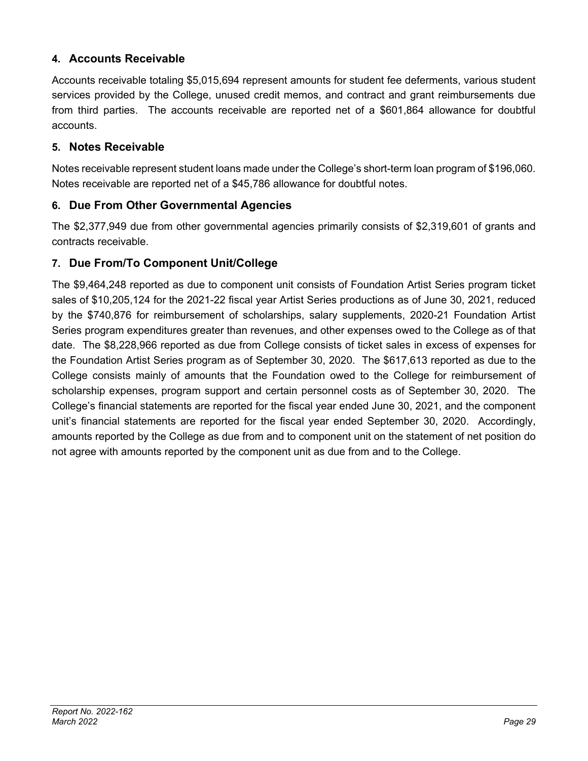# **4. Accounts Receivable**

Accounts receivable totaling \$5,015,694 represent amounts for student fee deferments, various student services provided by the College, unused credit memos, and contract and grant reimbursements due from third parties. The accounts receivable are reported net of a \$601,864 allowance for doubtful accounts.

# **5. Notes Receivable**

Notes receivable represent student loans made under the College's short-term loan program of \$196,060. Notes receivable are reported net of a \$45,786 allowance for doubtful notes.

# **6. Due From Other Governmental Agencies**

The \$2,377,949 due from other governmental agencies primarily consists of \$2,319,601 of grants and contracts receivable.

# **7. Due From/To Component Unit/College**

The \$9,464,248 reported as due to component unit consists of Foundation Artist Series program ticket sales of \$10,205,124 for the 2021-22 fiscal year Artist Series productions as of June 30, 2021, reduced by the \$740,876 for reimbursement of scholarships, salary supplements, 2020-21 Foundation Artist Series program expenditures greater than revenues, and other expenses owed to the College as of that date. The \$8,228,966 reported as due from College consists of ticket sales in excess of expenses for the Foundation Artist Series program as of September 30, 2020. The \$617,613 reported as due to the College consists mainly of amounts that the Foundation owed to the College for reimbursement of scholarship expenses, program support and certain personnel costs as of September 30, 2020. The College's financial statements are reported for the fiscal year ended June 30, 2021, and the component unit's financial statements are reported for the fiscal year ended September 30, 2020. Accordingly, amounts reported by the College as due from and to component unit on the statement of net position do not agree with amounts reported by the component unit as due from and to the College.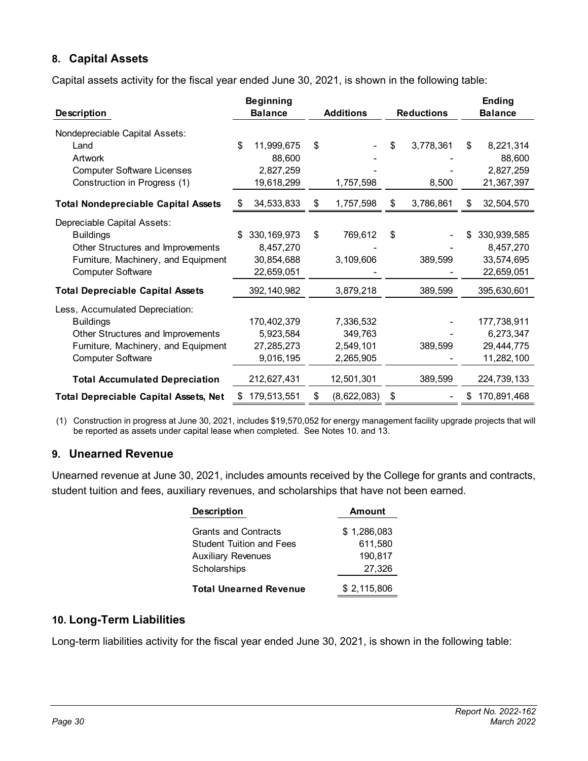# **8. Capital Assets**

Capital assets activity for the fiscal year ended June 30, 2021, is shown in the following table:

|                                              |     | <b>Beginning</b> |                   |                   |    | <b>Ending</b>  |
|----------------------------------------------|-----|------------------|-------------------|-------------------|----|----------------|
| <b>Description</b>                           |     | <b>Balance</b>   | <b>Additions</b>  | <b>Reductions</b> |    | <b>Balance</b> |
| Nondepreciable Capital Assets:               |     |                  |                   |                   |    |                |
| Land                                         | \$  | 11,999,675       | \$                | \$<br>3,778,361   | \$ | 8,221,314      |
| Artwork                                      |     | 88,600           |                   |                   |    | 88,600         |
| <b>Computer Software Licenses</b>            |     | 2,827,259        |                   |                   |    | 2,827,259      |
| Construction in Progress (1)                 |     | 19,618,299       | 1,757,598         | 8,500             |    | 21,367,397     |
| <b>Total Nondepreciable Capital Assets</b>   | S   | 34,533,833       | \$<br>1,757,598   | \$<br>3,786,861   | \$ | 32,504,570     |
| Depreciable Capital Assets:                  |     |                  |                   |                   |    |                |
| <b>Buildings</b>                             | \$. | 330, 169, 973    | \$<br>769,612     | \$                | \$ | 330,939,585    |
| Other Structures and Improvements            |     | 8,457,270        |                   |                   |    | 8,457,270      |
| Furniture, Machinery, and Equipment          |     | 30,854,688       | 3,109,606         | 389,599           |    | 33,574,695     |
| <b>Computer Software</b>                     |     | 22,659,051       |                   |                   |    | 22,659,051     |
| <b>Total Depreciable Capital Assets</b>      |     | 392, 140, 982    | 3,879,218         | 389,599           |    | 395,630,601    |
| Less, Accumulated Depreciation:              |     |                  |                   |                   |    |                |
| <b>Buildings</b>                             |     | 170,402,379      | 7,336,532         |                   |    | 177,738,911    |
| Other Structures and Improvements            |     | 5,923,584        | 349,763           |                   |    | 6,273,347      |
| Furniture, Machinery, and Equipment          |     | 27,285,273       | 2,549,101         | 389,599           |    | 29,444,775     |
| <b>Computer Software</b>                     |     | 9,016,195        | 2,265,905         |                   |    | 11,282,100     |
| <b>Total Accumulated Depreciation</b>        |     | 212,627,431      | 12,501,301        | 389,599           |    | 224,739,133    |
| <b>Total Depreciable Capital Assets, Net</b> | \$  | 179,513,551      | \$<br>(8,622,083) | \$                | \$ | 170,891,468    |

(1) Construction in progress at June 30, 2021, includes \$19,570,052 for energy management facility upgrade projects that will be reported as assets under capital lease when completed. See Notes 10. and 13.

# **9. Unearned Revenue**

Unearned revenue at June 30, 2021, includes amounts received by the College for grants and contracts, student tuition and fees, auxiliary revenues, and scholarships that have not been earned.

| <b>Description</b>                                             | <b>Amount</b>          |
|----------------------------------------------------------------|------------------------|
| <b>Grants and Contracts</b><br><b>Student Tuition and Fees</b> | \$1,286,083<br>611,580 |
| <b>Auxiliary Revenues</b>                                      | 190,817                |
| Scholarships                                                   | 27,326                 |
| <b>Total Unearned Revenue</b>                                  | \$2,115,806            |

# **10. Long-Term Liabilities**

Long-term liabilities activity for the fiscal year ended June 30, 2021, is shown in the following table: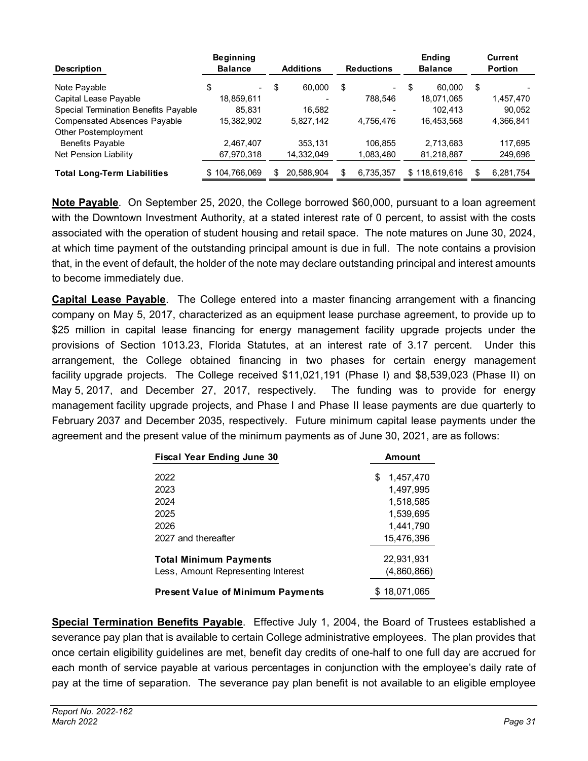|                                             | <b>Beginning</b>               |                          |                   | <b>Ending</b>  | <b>Current</b> |  |
|---------------------------------------------|--------------------------------|--------------------------|-------------------|----------------|----------------|--|
| <b>Description</b>                          | <b>Balance</b>                 | <b>Additions</b>         | <b>Reductions</b> | <b>Balance</b> | <b>Portion</b> |  |
| Note Payable                                | \$<br>$\overline{\phantom{0}}$ | \$<br>60.000             | \$<br>$\sim$      | \$<br>60.000   | \$             |  |
| Capital Lease Payable                       | 18,859,611                     | $\overline{\phantom{a}}$ | 788.546           | 18,071,065     | 1,457,470      |  |
| <b>Special Termination Benefits Payable</b> | 85.831                         | 16.582                   |                   | 102.413        | 90,052         |  |
| <b>Compensated Absences Payable</b>         | 15,382,902                     | 5,827,142                | 4,756,476         | 16,453,568     | 4,366,841      |  |
| <b>Other Postemployment</b>                 |                                |                          |                   |                |                |  |
| <b>Benefits Payable</b>                     | 2.467.407                      | 353.131                  | 106.855           | 2,713,683      | 117,695        |  |
| Net Pension Liability                       | 67,970,318                     | 14,332,049               | 1,083,480         | 81,218,887     | 249,696        |  |
| <b>Total Long-Term Liabilities</b>          | \$104,766,069                  | 20,588,904               | 6.735.357         | \$118,619,616  | 6,281,754      |  |

**Note Payable**. On September 25, 2020, the College borrowed \$60,000, pursuant to a loan agreement with the Downtown Investment Authority, at a stated interest rate of 0 percent, to assist with the costs associated with the operation of student housing and retail space. The note matures on June 30, 2024, at which time payment of the outstanding principal amount is due in full. The note contains a provision that, in the event of default, the holder of the note may declare outstanding principal and interest amounts to become immediately due.

**Capital Lease Payable**. The College entered into a master financing arrangement with a financing company on May 5, 2017, characterized as an equipment lease purchase agreement, to provide up to \$25 million in capital lease financing for energy management facility upgrade projects under the provisions of Section 1013.23, Florida Statutes, at an interest rate of 3.17 percent. Under this arrangement, the College obtained financing in two phases for certain energy management facility upgrade projects. The College received \$11,021,191 (Phase I) and \$8,539,023 (Phase II) on May 5, 2017, and December 27, 2017, respectively. The funding was to provide for energy management facility upgrade projects, and Phase I and Phase II lease payments are due quarterly to February 2037 and December 2035, respectively. Future minimum capital lease payments under the agreement and the present value of the minimum payments as of June 30, 2021, are as follows:

| <b>Fiscal Year Ending June 30</b>                                   | <b>Amount</b>                                                       |
|---------------------------------------------------------------------|---------------------------------------------------------------------|
| 2022<br>2023<br>2024<br>2025<br>2026                                | 1,457,470<br>\$<br>1,497,995<br>1,518,585<br>1,539,695<br>1,441,790 |
| 2027 and thereafter                                                 | 15,476,396                                                          |
| <b>Total Minimum Payments</b><br>Less, Amount Representing Interest | 22,931,931<br>(4,860,866)                                           |
| <b>Present Value of Minimum Payments</b>                            | \$18.071.065                                                        |

**Special Termination Benefits Payable**. Effective July 1, 2004, the Board of Trustees established a severance pay plan that is available to certain College administrative employees. The plan provides that once certain eligibility guidelines are met, benefit day credits of one-half to one full day are accrued for each month of service payable at various percentages in conjunction with the employee's daily rate of pay at the time of separation. The severance pay plan benefit is not available to an eligible employee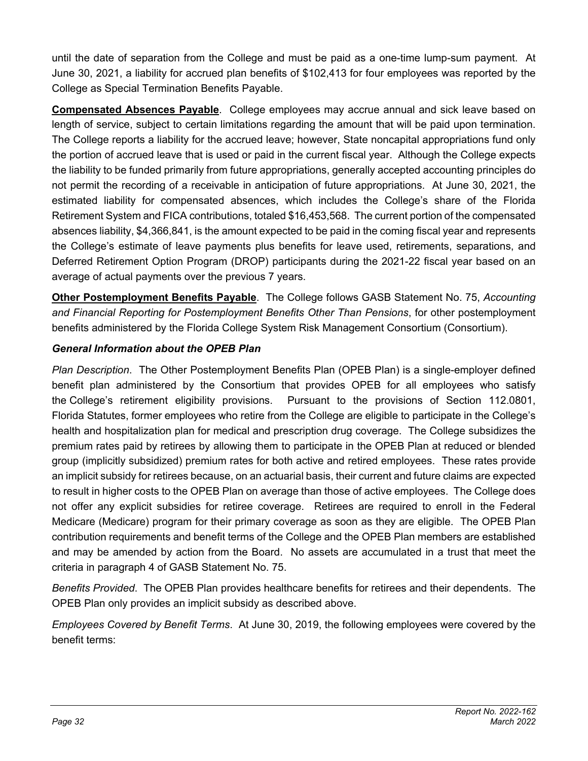until the date of separation from the College and must be paid as a one-time lump-sum payment. At June 30, 2021, a liability for accrued plan benefits of \$102,413 for four employees was reported by the College as Special Termination Benefits Payable.

**Compensated Absences Payable**. College employees may accrue annual and sick leave based on length of service, subject to certain limitations regarding the amount that will be paid upon termination. The College reports a liability for the accrued leave; however, State noncapital appropriations fund only the portion of accrued leave that is used or paid in the current fiscal year. Although the College expects the liability to be funded primarily from future appropriations, generally accepted accounting principles do not permit the recording of a receivable in anticipation of future appropriations. At June 30, 2021, the estimated liability for compensated absences, which includes the College's share of the Florida Retirement System and FICA contributions, totaled \$16,453,568. The current portion of the compensated absences liability, \$4,366,841, is the amount expected to be paid in the coming fiscal year and represents the College's estimate of leave payments plus benefits for leave used, retirements, separations, and Deferred Retirement Option Program (DROP) participants during the 2021-22 fiscal year based on an average of actual payments over the previous 7 years.

**Other Postemployment Benefits Payable**. The College follows GASB Statement No. 75, *Accounting and Financial Reporting for Postemployment Benefits Other Than Pensions*, for other postemployment benefits administered by the Florida College System Risk Management Consortium (Consortium).

# *General Information about the OPEB Plan*

*Plan Description*. The Other Postemployment Benefits Plan (OPEB Plan) is a single-employer defined benefit plan administered by the Consortium that provides OPEB for all employees who satisfy the College's retirement eligibility provisions. Pursuant to the provisions of Section 112.0801, Florida Statutes, former employees who retire from the College are eligible to participate in the College's health and hospitalization plan for medical and prescription drug coverage. The College subsidizes the premium rates paid by retirees by allowing them to participate in the OPEB Plan at reduced or blended group (implicitly subsidized) premium rates for both active and retired employees. These rates provide an implicit subsidy for retirees because, on an actuarial basis, their current and future claims are expected to result in higher costs to the OPEB Plan on average than those of active employees. The College does not offer any explicit subsidies for retiree coverage. Retirees are required to enroll in the Federal Medicare (Medicare) program for their primary coverage as soon as they are eligible. The OPEB Plan contribution requirements and benefit terms of the College and the OPEB Plan members are established and may be amended by action from the Board. No assets are accumulated in a trust that meet the criteria in paragraph 4 of GASB Statement No. 75.

*Benefits Provided*. The OPEB Plan provides healthcare benefits for retirees and their dependents. The OPEB Plan only provides an implicit subsidy as described above.

*Employees Covered by Benefit Terms*. At June 30, 2019, the following employees were covered by the benefit terms: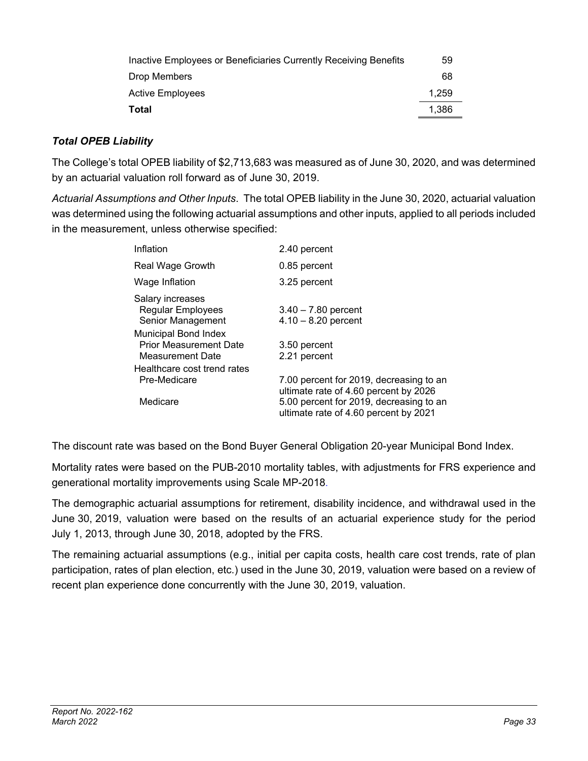| Inactive Employees or Beneficiaries Currently Receiving Benefits | 59    |
|------------------------------------------------------------------|-------|
| Drop Members                                                     | 68    |
| Active Employees                                                 | 1.259 |
| Total                                                            | 1.386 |
|                                                                  |       |

# *Total OPEB Liability*

The College's total OPEB liability of \$2,713,683 was measured as of June 30, 2020, and was determined by an actuarial valuation roll forward as of June 30, 2019.

*Actuarial Assumptions and Other Inputs*. The total OPEB liability in the June 30, 2020, actuarial valuation was determined using the following actuarial assumptions and other inputs, applied to all periods included in the measurement, unless otherwise specified:

| Inflation                                                                        | 2.40 percent                                                                                                              |
|----------------------------------------------------------------------------------|---------------------------------------------------------------------------------------------------------------------------|
| Real Wage Growth                                                                 | 0.85 percent                                                                                                              |
| Wage Inflation                                                                   | 3.25 percent                                                                                                              |
| Salary increases<br><b>Regular Employees</b><br>Senior Management                | $3.40 - 7.80$ percent<br>$4.10 - 8.20$ percent                                                                            |
| <b>Municipal Bond Index</b><br><b>Prior Measurement Date</b><br>Measurement Date | 3.50 percent<br>2.21 percent                                                                                              |
| Healthcare cost trend rates<br>Pre-Medicare                                      | 7.00 percent for 2019, decreasing to an                                                                                   |
| Medicare                                                                         | ultimate rate of 4.60 percent by 2026<br>5.00 percent for 2019, decreasing to an<br>ultimate rate of 4.60 percent by 2021 |

The discount rate was based on the Bond Buyer General Obligation 20-year Municipal Bond Index.

Mortality rates were based on the PUB-2010 mortality tables, with adjustments for FRS experience and generational mortality improvements using Scale MP-2018.

The demographic actuarial assumptions for retirement, disability incidence, and withdrawal used in the June 30, 2019, valuation were based on the results of an actuarial experience study for the period July 1, 2013, through June 30, 2018, adopted by the FRS.

The remaining actuarial assumptions (e.g., initial per capita costs, health care cost trends, rate of plan participation, rates of plan election, etc.) used in the June 30, 2019, valuation were based on a review of recent plan experience done concurrently with the June 30, 2019, valuation.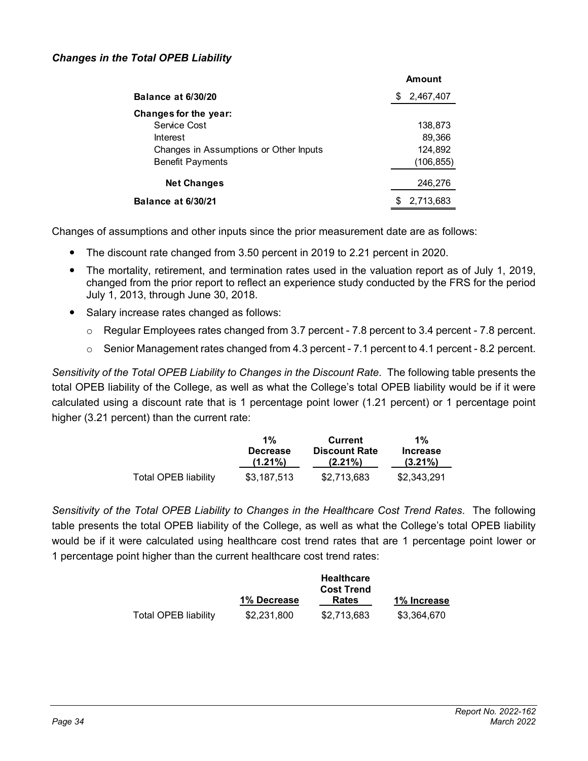### *Changes in the Total OPEB Liability*

|                                        | Amount         |
|----------------------------------------|----------------|
| Balance at 6/30/20                     | 2,467,407<br>S |
| Changes for the year:                  |                |
| Service Cost                           | 138,873        |
| Interest                               | 89,366         |
| Changes in Assumptions or Other Inputs | 124,892        |
| <b>Benefit Payments</b>                | (106, 855)     |
| <b>Net Changes</b>                     | 246,276        |
| <b>Balance at 6/30/21</b>              | 2.713.683      |

Changes of assumptions and other inputs since the prior measurement date are as follows:

- The discount rate changed from 3.50 percent in 2019 to 2.21 percent in 2020.
- The mortality, retirement, and termination rates used in the valuation report as of July 1, 2019, changed from the prior report to reflect an experience study conducted by the FRS for the period July 1, 2013, through June 30, 2018.
- Salary increase rates changed as follows:
	- $\circ$  Regular Employees rates changed from 3.7 percent 7.8 percent to 3.4 percent 7.8 percent.
	- $\circ$  Senior Management rates changed from 4.3 percent 7.1 percent to 4.1 percent 8.2 percent.

*Sensitivity of the Total OPEB Liability to Changes in the Discount Rate*. The following table presents the total OPEB liability of the College, as well as what the College's total OPEB liability would be if it were calculated using a discount rate that is 1 percentage point lower (1.21 percent) or 1 percentage point higher (3.21 percent) than the current rate:

|                      | 1%              | Current              | $1\%$           |
|----------------------|-----------------|----------------------|-----------------|
|                      | <b>Decrease</b> | <b>Discount Rate</b> | <b>Increase</b> |
|                      | $(1.21\%)$      | $(2.21\%)$           | $(3.21\%)$      |
| Total OPEB liability | \$3.187.513     | \$2.713.683          | \$2,343,291     |

*Sensitivity of the Total OPEB Liability to Changes in the Healthcare Cost Trend Rates*. The following table presents the total OPEB liability of the College, as well as what the College's total OPEB liability would be if it were calculated using healthcare cost trend rates that are 1 percentage point lower or 1 percentage point higher than the current healthcare cost trend rates:

|                      |             | <b>Healthcare</b><br><b>Cost Trend</b> |             |
|----------------------|-------------|----------------------------------------|-------------|
|                      | 1% Decrease | <b>Rates</b>                           | 1% Increase |
| Total OPEB liability | \$2,231,800 | \$2.713.683                            | \$3.364.670 |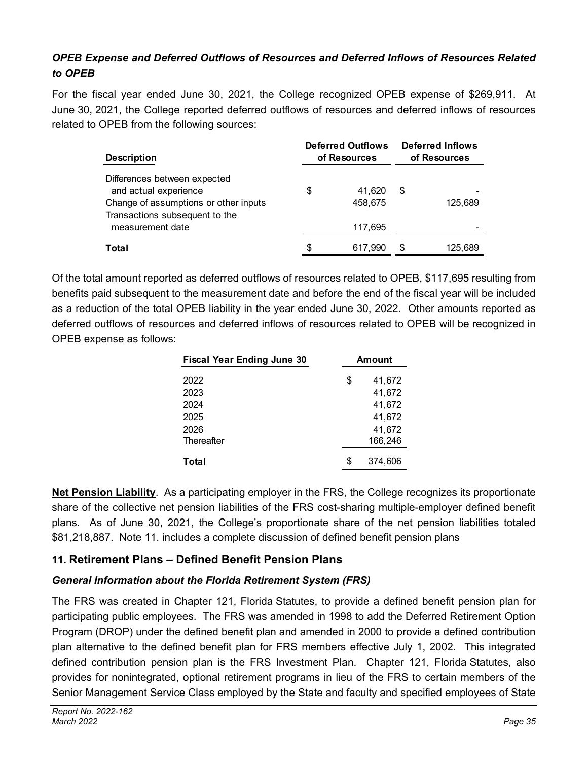# *OPEB Expense and Deferred Outflows of Resources and Deferred Inflows of Resources Related to OPEB*

For the fiscal year ended June 30, 2021, the College recognized OPEB expense of \$269,911. At June 30, 2021, the College reported deferred outflows of resources and deferred inflows of resources related to OPEB from the following sources:

| <b>Description</b>                                                      | <b>Deferred Outflows</b><br>of Resources |   | <b>Deferred Inflows</b><br>of Resources |  |
|-------------------------------------------------------------------------|------------------------------------------|---|-----------------------------------------|--|
| Differences between expected<br>and actual experience                   | \$<br>41.620                             | S |                                         |  |
| Change of assumptions or other inputs<br>Transactions subsequent to the | 458,675                                  |   | 125.689                                 |  |
| measurement date                                                        | 117,695                                  |   |                                         |  |
| Total                                                                   | \$<br>617,990                            | S | 125.689                                 |  |

Of the total amount reported as deferred outflows of resources related to OPEB, \$117,695 resulting from benefits paid subsequent to the measurement date and before the end of the fiscal year will be included as a reduction of the total OPEB liability in the year ended June 30, 2022. Other amounts reported as deferred outflows of resources and deferred inflows of resources related to OPEB will be recognized in OPEB expense as follows:

| <b>Fiscal Year Ending June 30</b> |        | Amount  |  |  |
|-----------------------------------|--------|---------|--|--|
| 2022                              | \$     | 41,672  |  |  |
| 2023                              |        | 41,672  |  |  |
| 2024                              | 41,672 |         |  |  |
| 2025                              |        | 41,672  |  |  |
| 2026                              | 41,672 |         |  |  |
| Thereafter                        |        | 166,246 |  |  |
| <b>Total</b>                      | S      | 374,606 |  |  |

**Net Pension Liability**. As a participating employer in the FRS, the College recognizes its proportionate share of the collective net pension liabilities of the FRS cost-sharing multiple-employer defined benefit plans. As of June 30, 2021, the College's proportionate share of the net pension liabilities totaled \$81,218,887. Note 11. includes a complete discussion of defined benefit pension plans

# **11. Retirement Plans – Defined Benefit Pension Plans**

# *General Information about the Florida Retirement System (FRS)*

The FRS was created in Chapter 121, Florida Statutes, to provide a defined benefit pension plan for participating public employees. The FRS was amended in 1998 to add the Deferred Retirement Option Program (DROP) under the defined benefit plan and amended in 2000 to provide a defined contribution plan alternative to the defined benefit plan for FRS members effective July 1, 2002. This integrated defined contribution pension plan is the FRS Investment Plan. Chapter 121, Florida Statutes, also provides for nonintegrated, optional retirement programs in lieu of the FRS to certain members of the Senior Management Service Class employed by the State and faculty and specified employees of State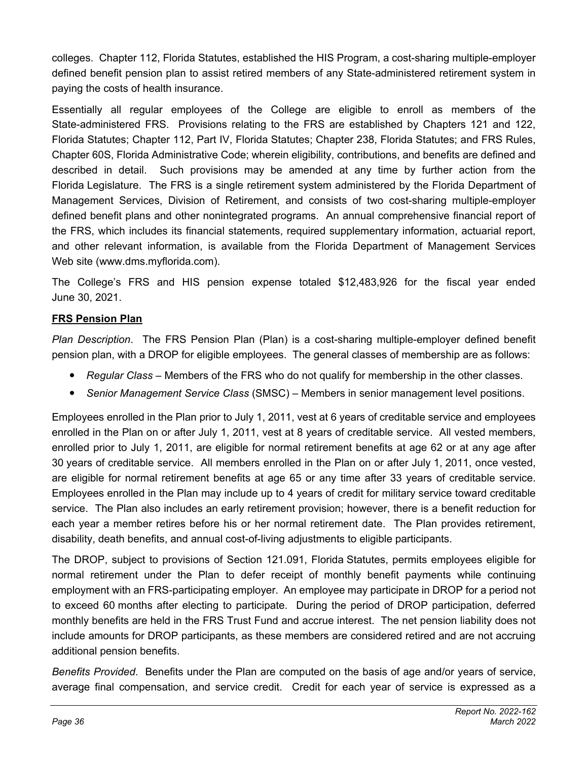colleges. Chapter 112, Florida Statutes, established the HIS Program, a cost-sharing multiple-employer defined benefit pension plan to assist retired members of any State-administered retirement system in paying the costs of health insurance.

Essentially all regular employees of the College are eligible to enroll as members of the State-administered FRS. Provisions relating to the FRS are established by Chapters 121 and 122, Florida Statutes; Chapter 112, Part IV, Florida Statutes; Chapter 238, Florida Statutes; and FRS Rules, Chapter 60S, Florida Administrative Code; wherein eligibility, contributions, and benefits are defined and described in detail. Such provisions may be amended at any time by further action from the Florida Legislature. The FRS is a single retirement system administered by the Florida Department of Management Services, Division of Retirement, and consists of two cost-sharing multiple-employer defined benefit plans and other nonintegrated programs. An annual comprehensive financial report of the FRS, which includes its financial statements, required supplementary information, actuarial report, and other relevant information, is available from the Florida Department of Management Services Web site (www.dms.myflorida.com).

The College's FRS and HIS pension expense totaled \$12,483,926 for the fiscal year ended June 30, 2021.

# **FRS Pension Plan**

*Plan Description*. The FRS Pension Plan (Plan) is a cost-sharing multiple-employer defined benefit pension plan, with a DROP for eligible employees. The general classes of membership are as follows:

- *Regular Class* Members of the FRS who do not qualify for membership in the other classes.
- *Senior Management Service Class* (SMSC) Members in senior management level positions.

Employees enrolled in the Plan prior to July 1, 2011, vest at 6 years of creditable service and employees enrolled in the Plan on or after July 1, 2011, vest at 8 years of creditable service. All vested members, enrolled prior to July 1, 2011, are eligible for normal retirement benefits at age 62 or at any age after 30 years of creditable service. All members enrolled in the Plan on or after July 1, 2011, once vested, are eligible for normal retirement benefits at age 65 or any time after 33 years of creditable service. Employees enrolled in the Plan may include up to 4 years of credit for military service toward creditable service. The Plan also includes an early retirement provision; however, there is a benefit reduction for each year a member retires before his or her normal retirement date. The Plan provides retirement, disability, death benefits, and annual cost-of-living adjustments to eligible participants.

The DROP, subject to provisions of Section 121.091, Florida Statutes, permits employees eligible for normal retirement under the Plan to defer receipt of monthly benefit payments while continuing employment with an FRS-participating employer. An employee may participate in DROP for a period not to exceed 60 months after electing to participate. During the period of DROP participation, deferred monthly benefits are held in the FRS Trust Fund and accrue interest. The net pension liability does not include amounts for DROP participants, as these members are considered retired and are not accruing additional pension benefits.

*Benefits Provided*. Benefits under the Plan are computed on the basis of age and/or years of service, average final compensation, and service credit. Credit for each year of service is expressed as a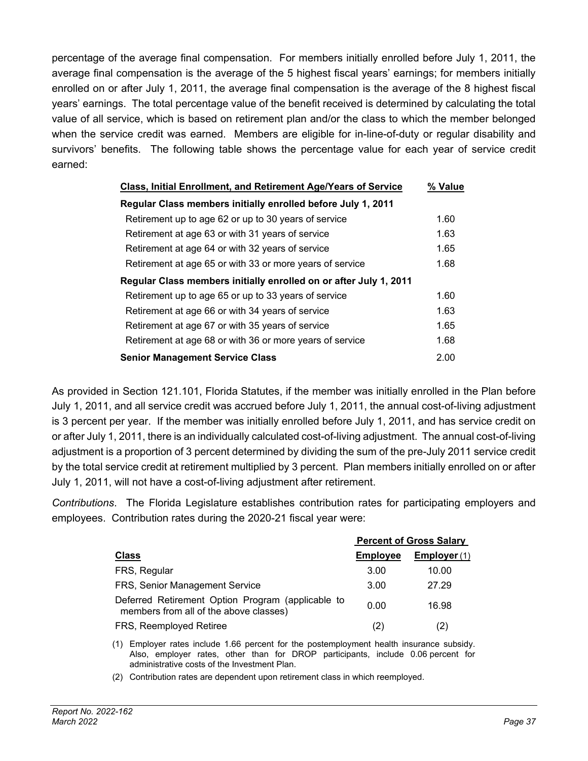percentage of the average final compensation. For members initially enrolled before July 1, 2011, the average final compensation is the average of the 5 highest fiscal years' earnings; for members initially enrolled on or after July 1, 2011, the average final compensation is the average of the 8 highest fiscal years' earnings. The total percentage value of the benefit received is determined by calculating the total value of all service, which is based on retirement plan and/or the class to which the member belonged when the service credit was earned. Members are eligible for in-line-of-duty or regular disability and survivors' benefits. The following table shows the percentage value for each year of service credit earned:

| <b>Class, Initial Enrollment, and Retirement Age/Years of Service</b> | % Value |
|-----------------------------------------------------------------------|---------|
| Regular Class members initially enrolled before July 1, 2011          |         |
| Retirement up to age 62 or up to 30 years of service                  | 1.60    |
| Retirement at age 63 or with 31 years of service                      | 1.63    |
| Retirement at age 64 or with 32 years of service                      | 1.65    |
| Retirement at age 65 or with 33 or more years of service              | 1.68    |
| Regular Class members initially enrolled on or after July 1, 2011     |         |
| Retirement up to age 65 or up to 33 years of service                  | 1.60    |
| Retirement at age 66 or with 34 years of service                      | 1.63    |
| Retirement at age 67 or with 35 years of service                      | 1.65    |
| Retirement at age 68 or with 36 or more years of service              | 1.68    |
| <b>Senior Management Service Class</b>                                | 2.00    |

As provided in Section 121.101, Florida Statutes, if the member was initially enrolled in the Plan before July 1, 2011, and all service credit was accrued before July 1, 2011, the annual cost-of-living adjustment is 3 percent per year. If the member was initially enrolled before July 1, 2011, and has service credit on or after July 1, 2011, there is an individually calculated cost-of-living adjustment. The annual cost-of-living adjustment is a proportion of 3 percent determined by dividing the sum of the pre-July 2011 service credit by the total service credit at retirement multiplied by 3 percent. Plan members initially enrolled on or after July 1, 2011, will not have a cost-of-living adjustment after retirement.

*Contributions*. The Florida Legislature establishes contribution rates for participating employers and employees. Contribution rates during the 2020-21 fiscal year were:

|                                                                                             | <b>Percent of Gross Salary</b> |                |
|---------------------------------------------------------------------------------------------|--------------------------------|----------------|
| <b>Class</b>                                                                                | <b>Employee</b>                | Employer $(1)$ |
| FRS, Regular                                                                                | 3.00                           | 10.00          |
| FRS, Senior Management Service                                                              | 3.00                           | 27.29          |
| Deferred Retirement Option Program (applicable to<br>members from all of the above classes) | 0.00                           | 16.98          |
| FRS, Reemployed Retiree                                                                     | (2)                            | (2)            |

(1) Employer rates include 1.66 percent for the postemployment health insurance subsidy. Also, employer rates, other than for DROP participants, include 0.06 percent for administrative costs of the Investment Plan.

(2) Contribution rates are dependent upon retirement class in which reemployed.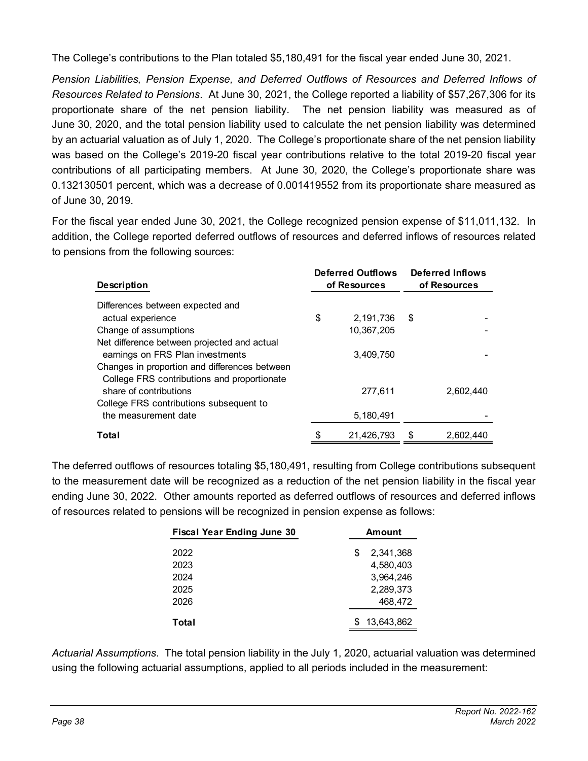The College's contributions to the Plan totaled \$5,180,491 for the fiscal year ended June 30, 2021.

*Pension Liabilities, Pension Expense, and Deferred Outflows of Resources and Deferred Inflows of Resources Related to Pensions*. At June 30, 2021, the College reported a liability of \$57,267,306 for its proportionate share of the net pension liability. The net pension liability was measured as of June 30, 2020, and the total pension liability used to calculate the net pension liability was determined by an actuarial valuation as of July 1, 2020. The College's proportionate share of the net pension liability was based on the College's 2019-20 fiscal year contributions relative to the total 2019-20 fiscal year contributions of all participating members. At June 30, 2020, the College's proportionate share was 0.132130501 percent, which was a decrease of 0.001419552 from its proportionate share measured as of June 30, 2019.

For the fiscal year ended June 30, 2021, the College recognized pension expense of \$11,011,132. In addition, the College reported deferred outflows of resources and deferred inflows of resources related to pensions from the following sources:

| <b>Description</b>                            |    | <b>Deferred Outflows</b><br>of Resources |      | <b>Deferred Inflows</b><br>of Resources |  |
|-----------------------------------------------|----|------------------------------------------|------|-----------------------------------------|--|
| Differences between expected and              |    |                                          |      |                                         |  |
| actual experience                             | \$ | 2, 191, 736                              | - \$ |                                         |  |
| Change of assumptions                         |    | 10,367,205                               |      |                                         |  |
| Net difference between projected and actual   |    |                                          |      |                                         |  |
| earnings on FRS Plan investments              |    | 3,409,750                                |      |                                         |  |
| Changes in proportion and differences between |    |                                          |      |                                         |  |
| College FRS contributions and proportionate   |    |                                          |      |                                         |  |
| share of contributions                        |    | 277.611                                  |      | 2,602,440                               |  |
| College FRS contributions subsequent to       |    |                                          |      |                                         |  |
| the measurement date                          |    | 5,180,491                                |      |                                         |  |
| Total                                         | \$ | 21,426,793                               |      | 2.602.440                               |  |

The deferred outflows of resources totaling \$5,180,491, resulting from College contributions subsequent to the measurement date will be recognized as a reduction of the net pension liability in the fiscal year ending June 30, 2022. Other amounts reported as deferred outflows of resources and deferred inflows of resources related to pensions will be recognized in pension expense as follows:

| <b>Fiscal Year Ending June 30</b> | <b>Amount</b>     |
|-----------------------------------|-------------------|
| 2022                              | 2,341,368<br>S    |
| 2023                              | 4,580,403         |
| 2024                              | 3,964,246         |
| 2025                              | 2,289,373         |
| 2026                              | 468,472           |
| Total                             | 13,643,862<br>SS. |

*Actuarial Assumptions*. The total pension liability in the July 1, 2020, actuarial valuation was determined using the following actuarial assumptions, applied to all periods included in the measurement: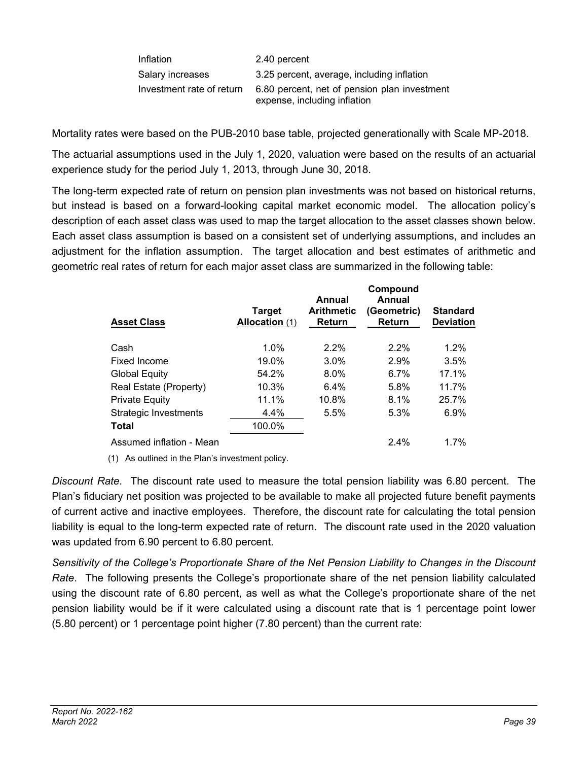| Inflation                 | 2.40 percent                                                                 |
|---------------------------|------------------------------------------------------------------------------|
| Salary increases          | 3.25 percent, average, including inflation                                   |
| Investment rate of return | 6.80 percent, net of pension plan investment<br>expense, including inflation |

Mortality rates were based on the PUB-2010 base table, projected generationally with Scale MP-2018.

The actuarial assumptions used in the July 1, 2020, valuation were based on the results of an actuarial experience study for the period July 1, 2013, through June 30, 2018.

The long-term expected rate of return on pension plan investments was not based on historical returns, but instead is based on a forward-looking capital market economic model. The allocation policy's description of each asset class was used to map the target allocation to the asset classes shown below. Each asset class assumption is based on a consistent set of underlying assumptions, and includes an adjustment for the inflation assumption. The target allocation and best estimates of arithmetic and geometric real rates of return for each major asset class are summarized in the following table:

| <b>Asset Class</b>           | <b>Target</b><br>Allocation (1) | Annual<br><b>Arithmetic</b><br>Return | Compound<br>Annual<br>(Geometric)<br>Return | <b>Standard</b><br><b>Deviation</b> |
|------------------------------|---------------------------------|---------------------------------------|---------------------------------------------|-------------------------------------|
| Cash                         | 1.0%                            | 2.2%                                  | 2.2%                                        | 1.2%                                |
| Fixed Income                 | 19.0%                           | $3.0\%$                               | 2.9%                                        | 3.5%                                |
| <b>Global Equity</b>         | 54.2%                           | 8.0%                                  | 6.7%                                        | 17.1%                               |
| Real Estate (Property)       | 10.3%                           | 6.4%                                  | 5.8%                                        | 11.7%                               |
| <b>Private Equity</b>        | 11.1%                           | 10.8%                                 | 8.1%                                        | 25.7%                               |
| <b>Strategic Investments</b> | 4.4%                            | 5.5%                                  | 5.3%                                        | 6.9%                                |
| <b>Total</b>                 | 100.0%                          |                                       |                                             |                                     |
| Assumed inflation - Mean     |                                 |                                       | 2.4%                                        | 1.7%                                |
|                              |                                 |                                       |                                             |                                     |

(1) As outlined in the Plan's investment policy.

*Discount Rate*. The discount rate used to measure the total pension liability was 6.80 percent. The Plan's fiduciary net position was projected to be available to make all projected future benefit payments of current active and inactive employees. Therefore, the discount rate for calculating the total pension liability is equal to the long-term expected rate of return. The discount rate used in the 2020 valuation was updated from 6.90 percent to 6.80 percent.

*Sensitivity of the College's Proportionate Share of the Net Pension Liability to Changes in the Discount Rate*. The following presents the College's proportionate share of the net pension liability calculated using the discount rate of 6.80 percent, as well as what the College's proportionate share of the net pension liability would be if it were calculated using a discount rate that is 1 percentage point lower (5.80 percent) or 1 percentage point higher (7.80 percent) than the current rate: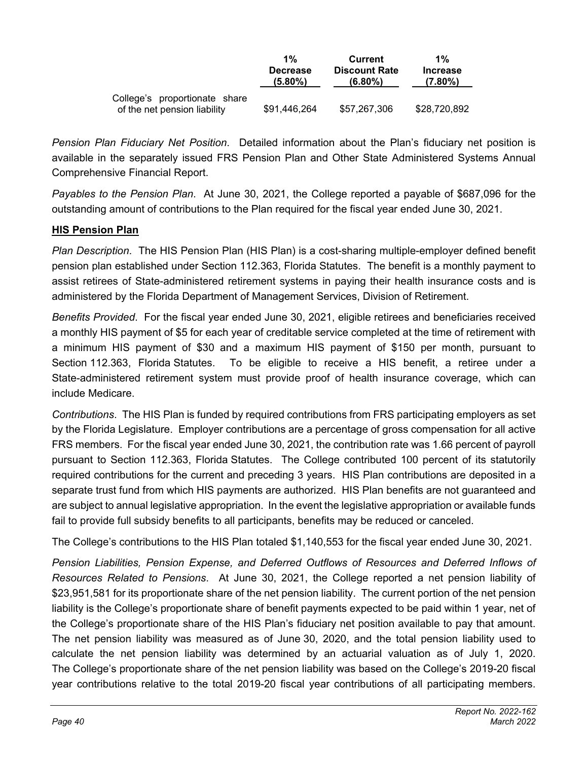|                                                               | 1%              | <b>Current</b>       | $1\%$           |
|---------------------------------------------------------------|-----------------|----------------------|-----------------|
|                                                               | <b>Decrease</b> | <b>Discount Rate</b> | <b>Increase</b> |
|                                                               | $(5.80\%)$      | $(6.80\%)$           | $(7.80\%)$      |
| College's proportionate share<br>of the net pension liability | \$91.446.264    | \$57,267,306         | \$28,720,892    |

*Pension Plan Fiduciary Net Position*. Detailed information about the Plan's fiduciary net position is available in the separately issued FRS Pension Plan and Other State Administered Systems Annual Comprehensive Financial Report.

*Payables to the Pension Plan*. At June 30, 2021, the College reported a payable of \$687,096 for the outstanding amount of contributions to the Plan required for the fiscal year ended June 30, 2021.

# **HIS Pension Plan**

*Plan Description*. The HIS Pension Plan (HIS Plan) is a cost-sharing multiple-employer defined benefit pension plan established under Section 112.363, Florida Statutes. The benefit is a monthly payment to assist retirees of State-administered retirement systems in paying their health insurance costs and is administered by the Florida Department of Management Services, Division of Retirement.

*Benefits Provided*. For the fiscal year ended June 30, 2021, eligible retirees and beneficiaries received a monthly HIS payment of \$5 for each year of creditable service completed at the time of retirement with a minimum HIS payment of \$30 and a maximum HIS payment of \$150 per month, pursuant to Section 112.363, Florida Statutes. To be eligible to receive a HIS benefit, a retiree under a State-administered retirement system must provide proof of health insurance coverage, which can include Medicare.

*Contributions*. The HIS Plan is funded by required contributions from FRS participating employers as set by the Florida Legislature. Employer contributions are a percentage of gross compensation for all active FRS members. For the fiscal year ended June 30, 2021, the contribution rate was 1.66 percent of payroll pursuant to Section 112.363, Florida Statutes. The College contributed 100 percent of its statutorily required contributions for the current and preceding 3 years. HIS Plan contributions are deposited in a separate trust fund from which HIS payments are authorized. HIS Plan benefits are not guaranteed and are subject to annual legislative appropriation. In the event the legislative appropriation or available funds fail to provide full subsidy benefits to all participants, benefits may be reduced or canceled.

The College's contributions to the HIS Plan totaled \$1,140,553 for the fiscal year ended June 30, 2021.

*Pension Liabilities, Pension Expense, and Deferred Outflows of Resources and Deferred Inflows of Resources Related to Pensions*. At June 30, 2021, the College reported a net pension liability of \$23,951,581 for its proportionate share of the net pension liability. The current portion of the net pension liability is the College's proportionate share of benefit payments expected to be paid within 1 year, net of the College's proportionate share of the HIS Plan's fiduciary net position available to pay that amount. The net pension liability was measured as of June 30, 2020, and the total pension liability used to calculate the net pension liability was determined by an actuarial valuation as of July 1, 2020. The College's proportionate share of the net pension liability was based on the College's 2019-20 fiscal year contributions relative to the total 2019-20 fiscal year contributions of all participating members.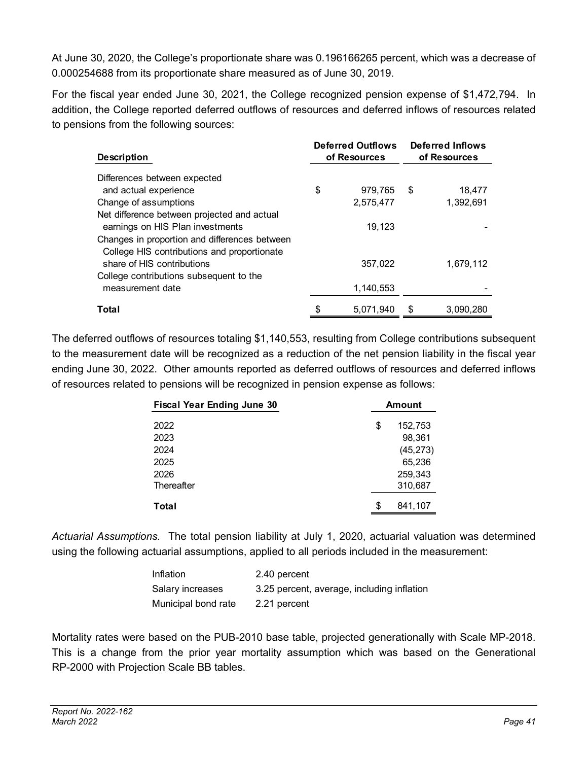At June 30, 2020, the College's proportionate share was 0.196166265 percent, which was a decrease of 0.000254688 from its proportionate share measured as of June 30, 2019.

For the fiscal year ended June 30, 2021, the College recognized pension expense of \$1,472,794. In addition, the College reported deferred outflows of resources and deferred inflows of resources related to pensions from the following sources:

| <b>Description</b>                                                                           | <b>Deferred Outflows</b><br>of Resources | Deferred Inflows<br>of Resources |           |  |  |
|----------------------------------------------------------------------------------------------|------------------------------------------|----------------------------------|-----------|--|--|
| Differences between expected                                                                 |                                          |                                  |           |  |  |
| and actual experience                                                                        | \$<br>979,765                            | \$                               | 18.477    |  |  |
| Change of assumptions                                                                        | 2,575,477                                |                                  | 1,392,691 |  |  |
| Net difference between projected and actual<br>earnings on HIS Plan investments              | 19,123                                   |                                  |           |  |  |
| Changes in proportion and differences between<br>College HIS contributions and proportionate |                                          |                                  |           |  |  |
| share of HIS contributions                                                                   | 357,022                                  |                                  | 1,679,112 |  |  |
| College contributions subsequent to the                                                      |                                          |                                  |           |  |  |
| measurement date                                                                             | 1,140,553                                |                                  |           |  |  |
| Total                                                                                        | \$<br>5,071,940                          |                                  | 3,090,280 |  |  |

The deferred outflows of resources totaling \$1,140,553, resulting from College contributions subsequent to the measurement date will be recognized as a reduction of the net pension liability in the fiscal year ending June 30, 2022. Other amounts reported as deferred outflows of resources and deferred inflows of resources related to pensions will be recognized in pension expense as follows:

| <b>Fiscal Year Ending June 30</b> |    | <b>Amount</b> |  |  |  |
|-----------------------------------|----|---------------|--|--|--|
| 2022                              | \$ | 152,753       |  |  |  |
| 2023                              |    | 98,361        |  |  |  |
| 2024                              |    | (45, 273)     |  |  |  |
| 2025                              |    | 65,236        |  |  |  |
| 2026                              |    | 259,343       |  |  |  |
| Thereafter                        |    | 310,687       |  |  |  |
| Total                             | S  | 841,107       |  |  |  |

*Actuarial Assumptions.* The total pension liability at July 1, 2020, actuarial valuation was determined using the following actuarial assumptions, applied to all periods included in the measurement:

| Inflation           | 2.40 percent                               |
|---------------------|--------------------------------------------|
| Salary increases    | 3.25 percent, average, including inflation |
| Municipal bond rate | 2.21 percent                               |

Mortality rates were based on the PUB-2010 base table, projected generationally with Scale MP-2018. This is a change from the prior year mortality assumption which was based on the Generational RP-2000 with Projection Scale BB tables.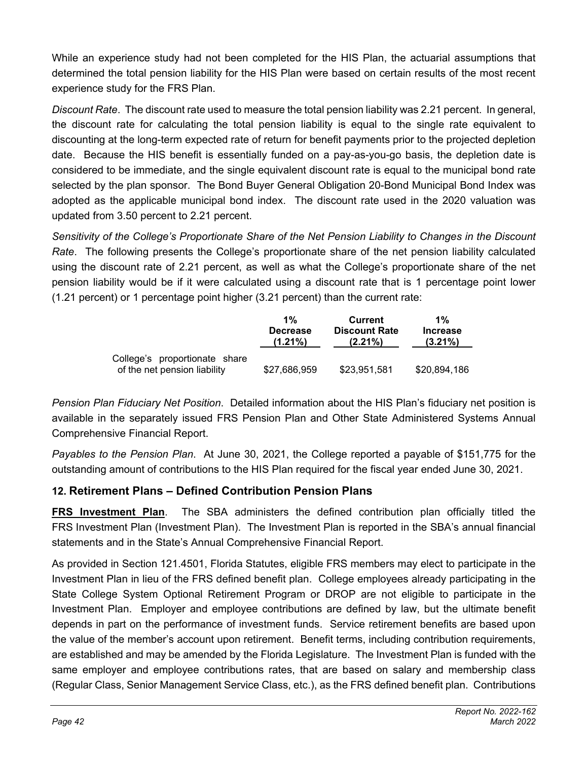While an experience study had not been completed for the HIS Plan, the actuarial assumptions that determined the total pension liability for the HIS Plan were based on certain results of the most recent experience study for the FRS Plan.

*Discount Rate*. The discount rate used to measure the total pension liability was 2.21 percent. In general, the discount rate for calculating the total pension liability is equal to the single rate equivalent to discounting at the long-term expected rate of return for benefit payments prior to the projected depletion date. Because the HIS benefit is essentially funded on a pay-as-you-go basis, the depletion date is considered to be immediate, and the single equivalent discount rate is equal to the municipal bond rate selected by the plan sponsor. The Bond Buyer General Obligation 20-Bond Municipal Bond Index was adopted as the applicable municipal bond index. The discount rate used in the 2020 valuation was updated from 3.50 percent to 2.21 percent.

*Sensitivity of the College's Proportionate Share of the Net Pension Liability to Changes in the Discount Rate*. The following presents the College's proportionate share of the net pension liability calculated using the discount rate of 2.21 percent, as well as what the College's proportionate share of the net pension liability would be if it were calculated using a discount rate that is 1 percentage point lower (1.21 percent) or 1 percentage point higher (3.21 percent) than the current rate:

|                                                               | 1%              | <b>Current</b>       | 1%              |
|---------------------------------------------------------------|-----------------|----------------------|-----------------|
|                                                               | <b>Decrease</b> | <b>Discount Rate</b> | <b>Increase</b> |
|                                                               | $(1.21\%)$      | $(2.21\%)$           | $(3.21\%)$      |
| College's proportionate share<br>of the net pension liability | \$27,686,959    | \$23,951,581         | \$20,894,186    |

*Pension Plan Fiduciary Net Position*. Detailed information about the HIS Plan's fiduciary net position is available in the separately issued FRS Pension Plan and Other State Administered Systems Annual Comprehensive Financial Report.

*Payables to the Pension Plan*. At June 30, 2021, the College reported a payable of \$151,775 for the outstanding amount of contributions to the HIS Plan required for the fiscal year ended June 30, 2021.

# **12. Retirement Plans – Defined Contribution Pension Plans**

**FRS Investment Plan**. The SBA administers the defined contribution plan officially titled the FRS Investment Plan (Investment Plan). The Investment Plan is reported in the SBA's annual financial statements and in the State's Annual Comprehensive Financial Report.

As provided in Section 121.4501, Florida Statutes, eligible FRS members may elect to participate in the Investment Plan in lieu of the FRS defined benefit plan. College employees already participating in the State College System Optional Retirement Program or DROP are not eligible to participate in the Investment Plan. Employer and employee contributions are defined by law, but the ultimate benefit depends in part on the performance of investment funds. Service retirement benefits are based upon the value of the member's account upon retirement. Benefit terms, including contribution requirements, are established and may be amended by the Florida Legislature. The Investment Plan is funded with the same employer and employee contributions rates, that are based on salary and membership class (Regular Class, Senior Management Service Class, etc.), as the FRS defined benefit plan. Contributions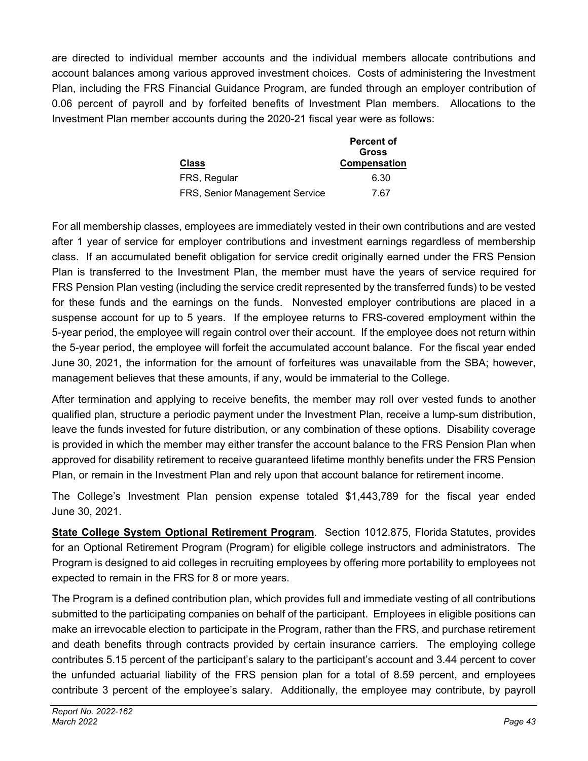are directed to individual member accounts and the individual members allocate contributions and account balances among various approved investment choices. Costs of administering the Investment Plan, including the FRS Financial Guidance Program, are funded through an employer contribution of 0.06 percent of payroll and by forfeited benefits of Investment Plan members. Allocations to the Investment Plan member accounts during the 2020-21 fiscal year were as follows:

|                                | <b>Percent of</b> |
|--------------------------------|-------------------|
|                                | Gross             |
| <b>Class</b>                   | Compensation      |
| FRS, Regular                   | 6.30              |
| FRS, Senior Management Service | 7 67              |

For all membership classes, employees are immediately vested in their own contributions and are vested after 1 year of service for employer contributions and investment earnings regardless of membership class. If an accumulated benefit obligation for service credit originally earned under the FRS Pension Plan is transferred to the Investment Plan, the member must have the years of service required for FRS Pension Plan vesting (including the service credit represented by the transferred funds) to be vested for these funds and the earnings on the funds. Nonvested employer contributions are placed in a suspense account for up to 5 years. If the employee returns to FRS-covered employment within the 5-year period, the employee will regain control over their account. If the employee does not return within the 5-year period, the employee will forfeit the accumulated account balance. For the fiscal year ended June 30, 2021, the information for the amount of forfeitures was unavailable from the SBA; however, management believes that these amounts, if any, would be immaterial to the College.

After termination and applying to receive benefits, the member may roll over vested funds to another qualified plan, structure a periodic payment under the Investment Plan, receive a lump-sum distribution, leave the funds invested for future distribution, or any combination of these options. Disability coverage is provided in which the member may either transfer the account balance to the FRS Pension Plan when approved for disability retirement to receive guaranteed lifetime monthly benefits under the FRS Pension Plan, or remain in the Investment Plan and rely upon that account balance for retirement income.

The College's Investment Plan pension expense totaled \$1,443,789 for the fiscal year ended June 30, 2021.

**State College System Optional Retirement Program**. Section 1012.875, Florida Statutes, provides for an Optional Retirement Program (Program) for eligible college instructors and administrators. The Program is designed to aid colleges in recruiting employees by offering more portability to employees not expected to remain in the FRS for 8 or more years.

The Program is a defined contribution plan, which provides full and immediate vesting of all contributions submitted to the participating companies on behalf of the participant. Employees in eligible positions can make an irrevocable election to participate in the Program, rather than the FRS, and purchase retirement and death benefits through contracts provided by certain insurance carriers. The employing college contributes 5.15 percent of the participant's salary to the participant's account and 3.44 percent to cover the unfunded actuarial liability of the FRS pension plan for a total of 8.59 percent, and employees contribute 3 percent of the employee's salary. Additionally, the employee may contribute, by payroll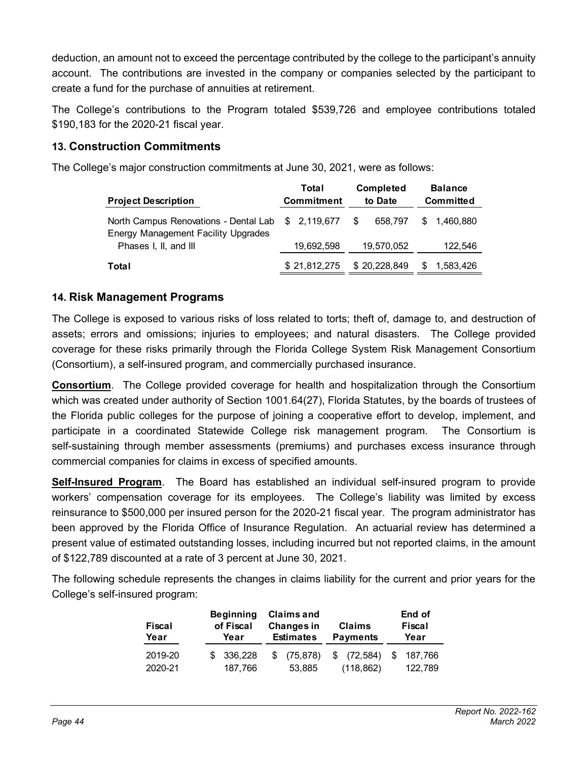deduction, an amount not to exceed the percentage contributed by the college to the participant's annuity account. The contributions are invested in the company or companies selected by the participant to create a fund for the purchase of annuities at retirement.

The College's contributions to the Program totaled \$539,726 and employee contributions totaled \$190,183 for the 2020-21 fiscal year.

# **13. Construction Commitments**

The College's major construction commitments at June 30, 2021, were as follows:

| <b>Project Description</b>                                                   | Total<br><b>Commitment</b> | <b>Completed</b><br>to Date | <b>Balance</b><br>Committed |  |  |  |
|------------------------------------------------------------------------------|----------------------------|-----------------------------|-----------------------------|--|--|--|
| North Campus Renovations - Dental Lab<br>Energy Management Facility Upgrades | \$2,119,677                | \$<br>658.797               | \$ 1,460,880                |  |  |  |
| Phases I, II, and III                                                        | 19,692,598                 | 19,570,052                  | 122.546                     |  |  |  |
| Total                                                                        | \$21,812,275               | \$20,228,849                | 1,583,426<br>\$.            |  |  |  |

# **14. Risk Management Programs**

The College is exposed to various risks of loss related to torts; theft of, damage to, and destruction of assets; errors and omissions; injuries to employees; and natural disasters. The College provided coverage for these risks primarily through the Florida College System Risk Management Consortium (Consortium), a self-insured program, and commercially purchased insurance.

**Consortium**. The College provided coverage for health and hospitalization through the Consortium which was created under authority of Section 1001.64(27), Florida Statutes, by the boards of trustees of the Florida public colleges for the purpose of joining a cooperative effort to develop, implement, and participate in a coordinated Statewide College risk management program. The Consortium is self-sustaining through member assessments (premiums) and purchases excess insurance through commercial companies for claims in excess of specified amounts.

**Self-Insured Program**. The Board has established an individual self-insured program to provide workers' compensation coverage for its employees. The College's liability was limited by excess reinsurance to \$500,000 per insured person for the 2020-21 fiscal year. The program administrator has been approved by the Florida Office of Insurance Regulation. An actuarial review has determined a present value of estimated outstanding losses, including incurred but not reported claims, in the amount of \$122,789 discounted at a rate of 3 percent at June 30, 2021.

The following schedule represents the changes in claims liability for the current and prior years for the College's self-insured program:

| Fiscal<br>Year     | <b>Beginning</b><br>of Fiscal<br>Year | <b>Claims and</b><br><b>Changes in</b><br><b>Estimates</b> | <b>Claims</b><br><b>Payments</b> | End of<br><b>Fiscal</b><br>Year |  |  |
|--------------------|---------------------------------------|------------------------------------------------------------|----------------------------------|---------------------------------|--|--|
| 2019-20<br>2020-21 | 336.228<br>187,766                    | (75, 878)<br>53.885                                        | (72, 584)<br>\$<br>(118, 862)    | 187.766<br>122,789              |  |  |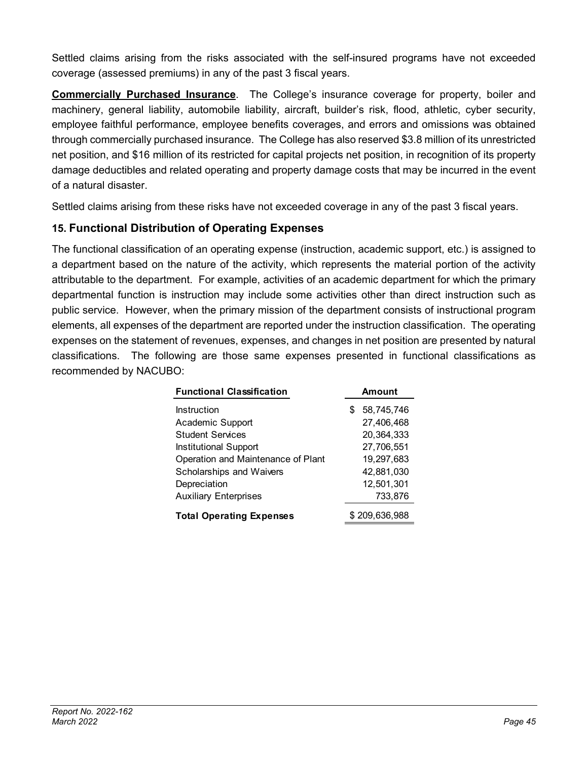Settled claims arising from the risks associated with the self-insured programs have not exceeded coverage (assessed premiums) in any of the past 3 fiscal years.

**Commercially Purchased Insurance**. The College's insurance coverage for property, boiler and machinery, general liability, automobile liability, aircraft, builder's risk, flood, athletic, cyber security, employee faithful performance, employee benefits coverages, and errors and omissions was obtained through commercially purchased insurance. The College has also reserved \$3.8 million of its unrestricted net position, and \$16 million of its restricted for capital projects net position, in recognition of its property damage deductibles and related operating and property damage costs that may be incurred in the event of a natural disaster.

Settled claims arising from these risks have not exceeded coverage in any of the past 3 fiscal years.

# **15. Functional Distribution of Operating Expenses**

The functional classification of an operating expense (instruction, academic support, etc.) is assigned to a department based on the nature of the activity, which represents the material portion of the activity attributable to the department. For example, activities of an academic department for which the primary departmental function is instruction may include some activities other than direct instruction such as public service. However, when the primary mission of the department consists of instructional program elements, all expenses of the department are reported under the instruction classification. The operating expenses on the statement of revenues, expenses, and changes in net position are presented by natural classifications. The following are those same expenses presented in functional classifications as recommended by NACUBO:

| <b>Functional Classification</b>   | <b>Amount</b> |               |  |  |
|------------------------------------|---------------|---------------|--|--|
| Instruction                        | S             | 58,745,746    |  |  |
| Academic Support                   |               | 27,406,468    |  |  |
| <b>Student Services</b>            |               | 20,364,333    |  |  |
| Institutional Support              |               | 27,706,551    |  |  |
| Operation and Maintenance of Plant |               | 19,297,683    |  |  |
| Scholarships and Waivers           |               | 42,881,030    |  |  |
| Depreciation                       |               | 12,501,301    |  |  |
| <b>Auxiliary Enterprises</b>       |               | 733,876       |  |  |
| <b>Total Operating Expenses</b>    |               | \$209,636,988 |  |  |
|                                    |               |               |  |  |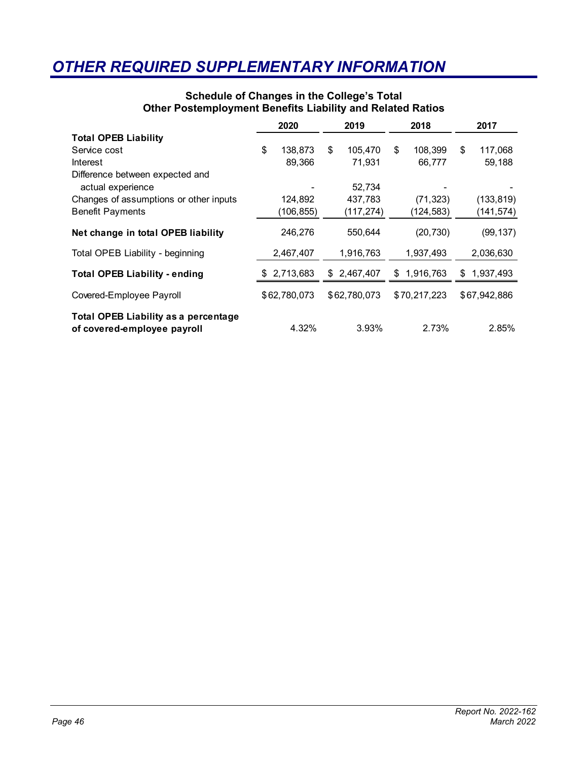# <span id="page-49-0"></span>*OTHER REQUIRED SUPPLEMENTARY INFORMATION*

|                                                                            | 2020          | 2019 |              | 2018          | 2017 |              |
|----------------------------------------------------------------------------|---------------|------|--------------|---------------|------|--------------|
| <b>Total OPEB Liability</b>                                                |               |      |              |               |      |              |
| Service cost                                                               | \$<br>138,873 | \$   | 105,470      | \$<br>108,399 | \$   | 117,068      |
| Interest                                                                   | 89,366        |      | 71,931       | 66,777        |      | 59,188       |
| Difference between expected and                                            |               |      |              |               |      |              |
| actual experience                                                          |               |      | 52,734       |               |      |              |
| Changes of assumptions or other inputs                                     | 124,892       |      | 437,783      | (71, 323)     |      | (133, 819)   |
| <b>Benefit Payments</b>                                                    | (106, 855)    |      | (117, 274)   | (124, 583)    |      | (141,574)    |
| Net change in total OPEB liability                                         | 246,276       |      | 550,644      | (20, 730)     |      | (99, 137)    |
| Total OPEB Liability - beginning                                           | 2,467,407     |      | 1,916,763    | 1,937,493     |      | 2,036,630    |
| <b>Total OPEB Liability - ending</b>                                       | \$2,713,683   |      | \$2,467,407  | \$1,916,763   | \$   | 1,937,493    |
| Covered-Employee Payroll                                                   | \$62,780,073  |      | \$62,780,073 | \$70,217,223  |      | \$67,942,886 |
| <b>Total OPEB Liability as a percentage</b><br>of covered-employee payroll | 4.32%         |      | 3.93%        | 2.73%         |      | 2.85%        |

### **Schedule of Changes in the College's Total Other Postemployment Benefits Liability and Related Ratios**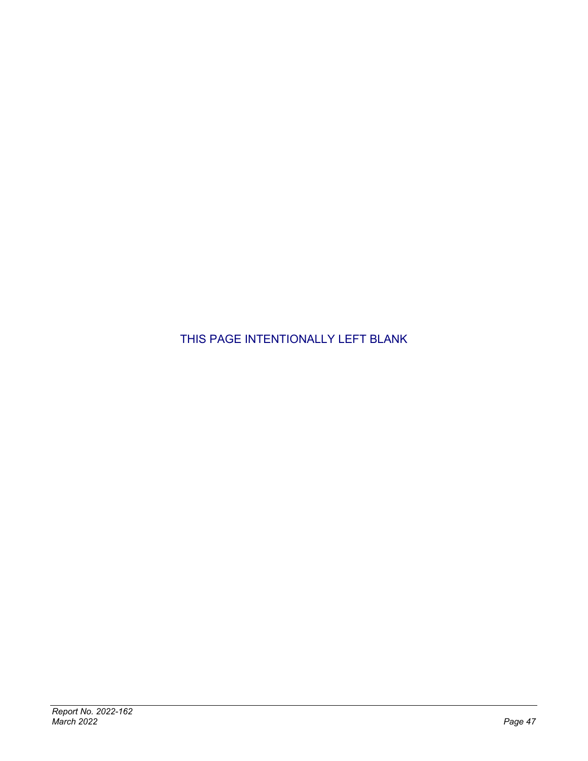THIS PAGE INTENTIONALLY LEFT BLANK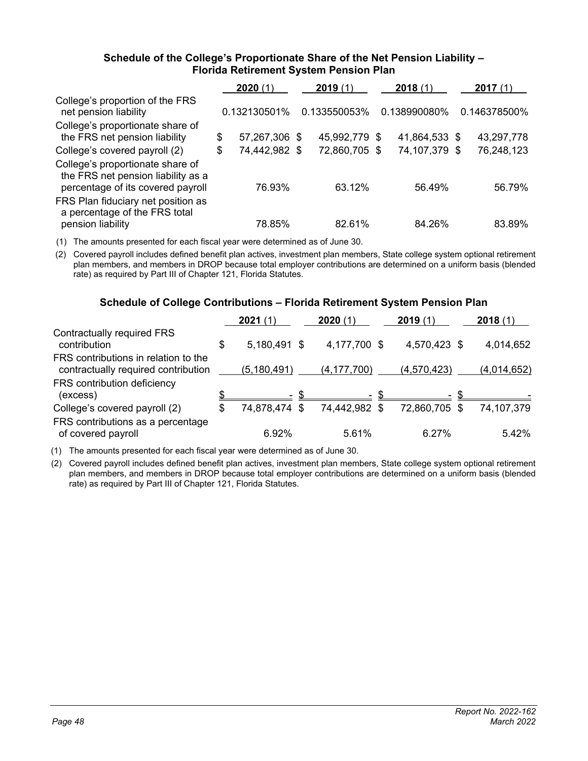### **Schedule of the College's Proportionate Share of the Net Pension Liability – Florida Retirement System Pension Plan**

<span id="page-51-0"></span>

|                                                                                                             | 2020(1)             |      | 2019(1)       |  | 2018 (1       | 2017(1) |              |
|-------------------------------------------------------------------------------------------------------------|---------------------|------|---------------|--|---------------|---------|--------------|
| College's proportion of the FRS<br>net pension liability<br>College's proportionate share of                | 0.132130501%        |      | 0.133550053%  |  | 0.138990080%  |         | 0.146378500% |
| the FRS net pension liability                                                                               | \$<br>57,267,306    | - \$ | 45,992,779 \$ |  | 41,864,533 \$ |         | 43,297,778   |
| College's covered payroll (2)                                                                               | \$<br>74,442,982 \$ |      | 72,860,705 \$ |  | 74,107,379 \$ |         | 76,248,123   |
| College's proportionate share of<br>the FRS net pension liability as a<br>percentage of its covered payroll | 76.93%              |      | 63.12%        |  | 56.49%        |         | 56.79%       |
| FRS Plan fiduciary net position as<br>a percentage of the FRS total<br>pension liability                    | 78.85%              |      | 82.61%        |  | 84.26%        |         | 83.89%       |

(1) The amounts presented for each fiscal year were determined as of June 30.

(2) Covered payroll includes defined benefit plan actives, investment plan members, State college system optional retirement plan members, and members in DROP because total employer contributions are determined on a uniform basis (blended rate) as required by Part III of Chapter 121, Florida Statutes.

### **Schedule of College Contributions – Florida Retirement System Pension Plan**

|                                                                             | 2021(1)             | 2020(1)                  | 2019(1)                  | 2018(1)     |
|-----------------------------------------------------------------------------|---------------------|--------------------------|--------------------------|-------------|
| <b>Contractually required FRS</b><br>contribution                           | \$<br>5,180,491 \$  | 4,177,700 \$             | 4,570,423 \$             | 4,014,652   |
| FRS contributions in relation to the<br>contractually required contribution | (5,180,491)         | (4, 177, 700)            | (4,570,423)              | (4,014,652) |
| FRS contribution deficiency<br>(excess)                                     |                     | $\overline{\phantom{0}}$ | $\overline{\phantom{0}}$ |             |
| College's covered payroll (2)                                               | \$<br>74,878,474 \$ | 74,442,982               | \$<br>72,860,705 \$      | 74,107,379  |
| FRS contributions as a percentage<br>of covered payroll                     | 6.92%               | 5.61%                    | 6.27%                    | 5.42%       |

(1) The amounts presented for each fiscal year were determined as of June 30.

(2) Covered payroll includes defined benefit plan actives, investment plan members, State college system optional retirement plan members, and members in DROP because total employer contributions are determined on a uniform basis (blended rate) as required by Part III of Chapter 121, Florida Statutes.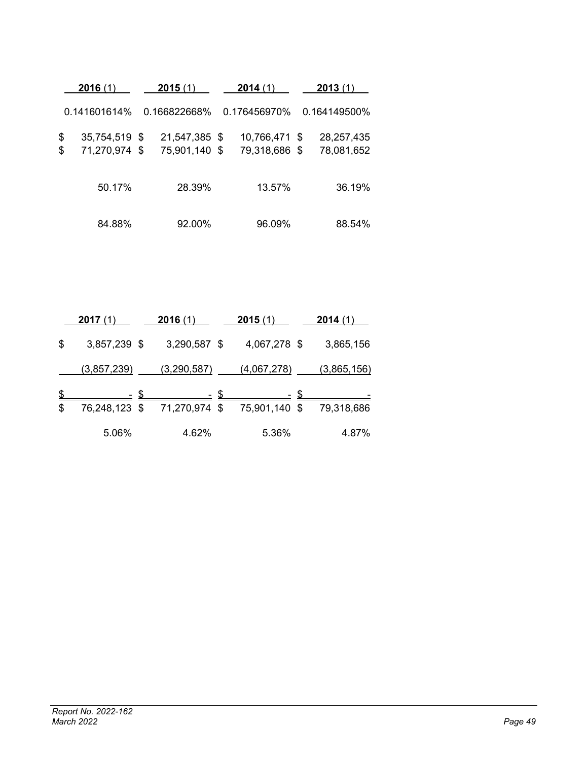|          | 2016(1)                        |              | 2015(1)                     |      | 2014(1)                        |              | 2013(1)                  |  |  |  |
|----------|--------------------------------|--------------|-----------------------------|------|--------------------------------|--------------|--------------------------|--|--|--|
|          | 0.141601614%                   | 0.166822668% |                             |      | 0.176456970%                   | 0.164149500% |                          |  |  |  |
| \$<br>\$ | 35,754,519 \$<br>71,270,974 \$ |              | 21,547,385 \$<br>75,901,140 | - \$ | 10,766,471 \$<br>79,318,686 \$ |              | 28,257,435<br>78,081,652 |  |  |  |
|          | 50.17%                         |              | 28.39%                      |      | 13.57%                         |              | 36.19%                   |  |  |  |
|          | 84.88%                         |              | 92.00%                      |      | 96.09%                         |              | 88.54%                   |  |  |  |

| 2017 (1             | 2016 (1)           | 2015(1)       | 2014(1)     |
|---------------------|--------------------|---------------|-------------|
| \$<br>3,857,239 \$  | 3,290,587 \$       | 4,067,278 \$  | 3,865,156   |
| (3,857,239)         | <u>(3,290,587)</u> | (4,067,278)   | (3,865,156) |
|                     |                    |               |             |
| \$<br>76,248,123 \$ | 71,270,974 \$      | 75,901,140 \$ | 79,318,686  |
| 5.06%               | 4.62%              | 5.36%         | 4.87%       |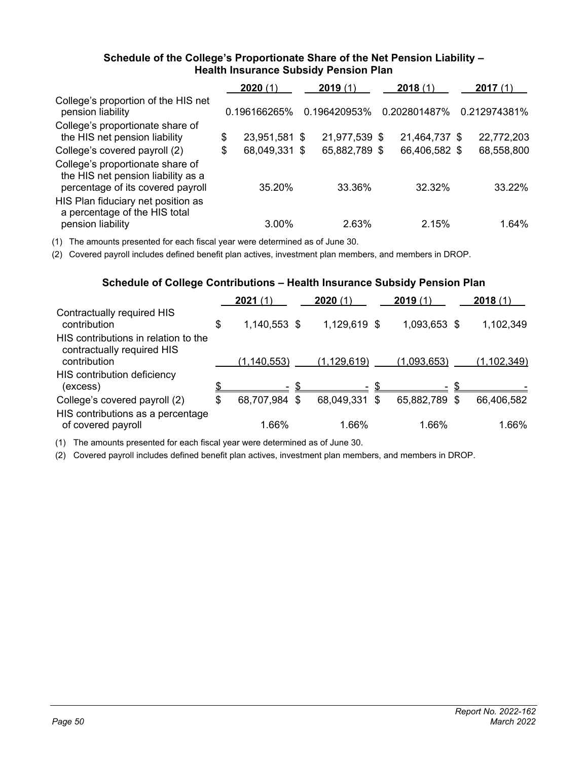### **Schedule of the College's Proportionate Share of the Net Pension Liability – Health Insurance Subsidy Pension Plan**

<span id="page-53-0"></span>

|                                                                                                             | 2020(1)             | 2019(1)       | 2018(1)       | 2017(1)      |
|-------------------------------------------------------------------------------------------------------------|---------------------|---------------|---------------|--------------|
| College's proportion of the HIS net<br>pension liability<br>College's proportionate share of                | 0.196166265%        | 0.196420953%  | 0.202801487%  | 0.212974381% |
| the HIS net pension liability                                                                               | \$<br>23,951,581 \$ | 21,977,539 \$ | 21,464,737 \$ | 22,772,203   |
| College's covered payroll (2)                                                                               | \$<br>68,049,331 \$ | 65,882,789 \$ | 66,406,582 \$ | 68,558,800   |
| College's proportionate share of<br>the HIS net pension liability as a<br>percentage of its covered payroll | 35.20%              | 33.36%        | 32.32%        | 33.22%       |
| HIS Plan fiduciary net position as<br>a percentage of the HIS total<br>pension liability                    | $3.00\%$            | 2.63%         | 2.15%         | 1.64%        |

(1) The amounts presented for each fiscal year were determined as of June 30.

(2) Covered payroll includes defined benefit plan actives, investment plan members, and members in DROP.

### **Schedule of College Contributions – Health Insurance Subsidy Pension Plan**

|                                                                    | 2021(1)            | 2020(1)             | 2019(1)      | 2018(1)          |
|--------------------------------------------------------------------|--------------------|---------------------|--------------|------------------|
| Contractually required HIS<br>contribution                         | \$<br>1,140,553 \$ | 1,129,619 \$        | 1,093,653 \$ | 1,102,349        |
| HIS contributions in relation to the<br>contractually required HIS |                    |                     |              |                  |
| contribution                                                       | (1, 140, 553)      | (1, 129, 619)       | (1,093,653)  | (1,102,349)      |
| HIS contribution deficiency                                        |                    |                     |              |                  |
| (excess)                                                           |                    |                     |              |                  |
| College's covered payroll (2)                                      | \$<br>68,707,984   | \$<br>68,049,331 \$ | 65,882,789   | \$<br>66,406,582 |
| HIS contributions as a percentage<br>of covered payroll            | 1.66%              | 1.66%               | 1.66%        | 1.66%            |

(1) The amounts presented for each fiscal year were determined as of June 30.

(2) Covered payroll includes defined benefit plan actives, investment plan members, and members in DROP.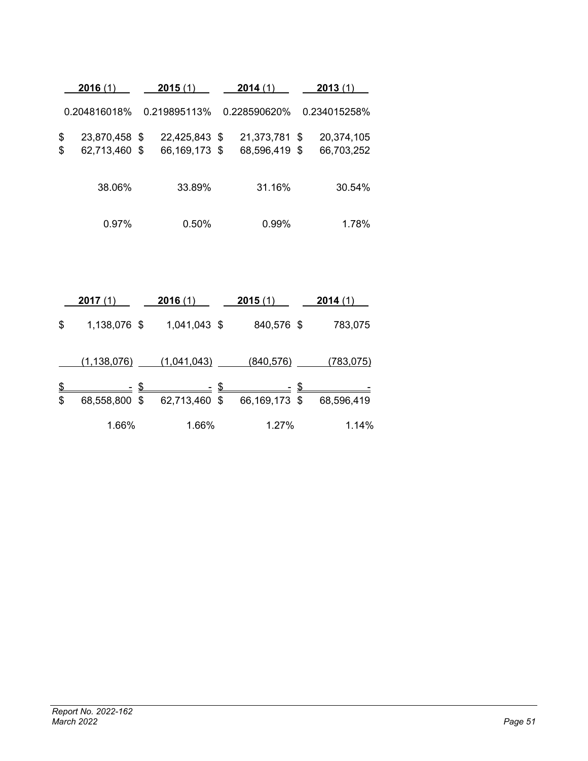| 2016(1)  |                             | 2015(1)                              | 2014(1)                        | 2013(1)                  |  |  |  |
|----------|-----------------------------|--------------------------------------|--------------------------------|--------------------------|--|--|--|
|          | 0.204816018%                | 0.219895113%                         | 0.228590620%                   | 0.234015258%             |  |  |  |
| \$<br>\$ | 23,870,458 \$<br>62,713,460 | 22,425,843 \$<br>66,169,173 \$<br>-S | 21,373,781 \$<br>68,596,419 \$ | 20,374,105<br>66,703,252 |  |  |  |
|          | 38.06%                      | 33.89%                               | 31.16%                         | $30.54\%$                |  |  |  |
|          | 0.97%                       | 0.50%                                | $0.99\%$                       | 1.78%                    |  |  |  |

| 2017(1)             | 2016(1)       | 2015(1)       | 2014(1)    |
|---------------------|---------------|---------------|------------|
| \$<br>1,138,076 \$  | 1,041,043 \$  | 840,576 \$    | 783,075    |
| (1, 138, 076)       | (1,041,043)   | (840, 576)    | (783, 075) |
|                     |               | - \$          |            |
| \$<br>68,558,800 \$ | 62,713,460 \$ | 66,169,173 \$ | 68,596,419 |
| 1.66%               | 1.66%         | 1.27%         | 1.14%      |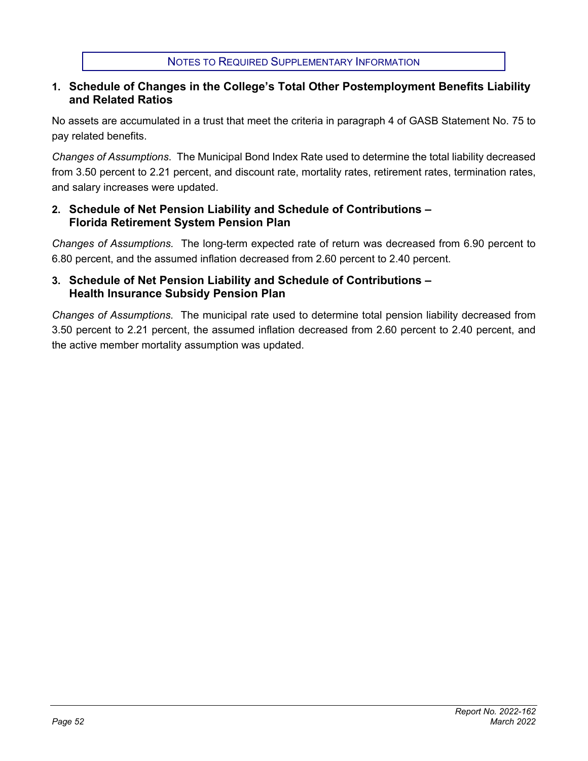# <span id="page-55-0"></span>**1. Schedule of Changes in the College's Total Other Postemployment Benefits Liability and Related Ratios**

No assets are accumulated in a trust that meet the criteria in paragraph 4 of GASB Statement No. 75 to pay related benefits.

*Changes of Assumptions*. The Municipal Bond Index Rate used to determine the total liability decreased from 3.50 percent to 2.21 percent, and discount rate, mortality rates, retirement rates, termination rates, and salary increases were updated.

# **2. Schedule of Net Pension Liability and Schedule of Contributions – Florida Retirement System Pension Plan**

*Changes of Assumptions.* The long-term expected rate of return was decreased from 6.90 percent to 6.80 percent, and the assumed inflation decreased from 2.60 percent to 2.40 percent.

# **3. Schedule of Net Pension Liability and Schedule of Contributions – Health Insurance Subsidy Pension Plan**

*Changes of Assumptions.* The municipal rate used to determine total pension liability decreased from 3.50 percent to 2.21 percent, the assumed inflation decreased from 2.60 percent to 2.40 percent, and the active member mortality assumption was updated.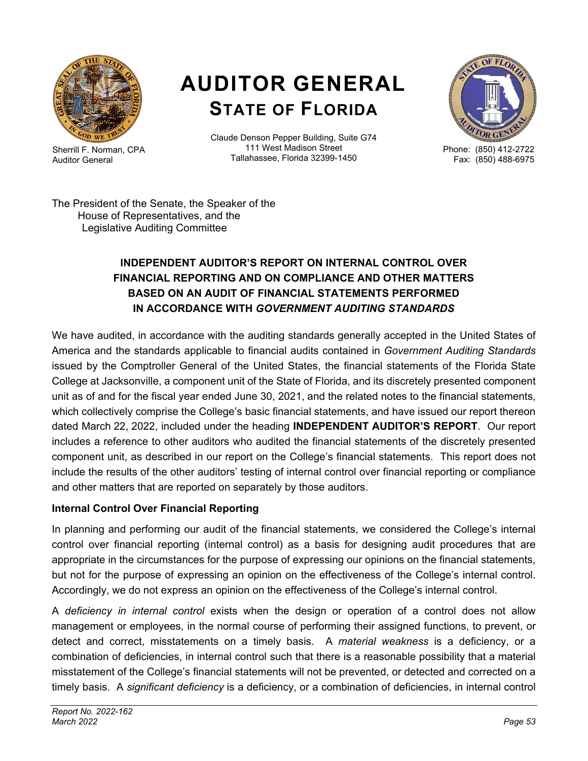<span id="page-56-0"></span>

Sherrill F. Norman, CPA Auditor General

# **AUDITOR GENERAL STATE OF FLORIDA**

Claude Denson Pepper Building, Suite G74 111 West Madison Street Tallahassee, Florida 32399-1450



Phone: (850) 412-2722 Fax: (850) 488-6975

The President of the Senate, the Speaker of the House of Representatives, and the Legislative Auditing Committee

# **INDEPENDENT AUDITOR'S REPORT ON INTERNAL CONTROL OVER FINANCIAL REPORTING AND ON COMPLIANCE AND OTHER MATTERS BASED ON AN AUDIT OF FINANCIAL STATEMENTS PERFORMED IN ACCORDANCE WITH** *GOVERNMENT AUDITING STANDARDS*

We have audited, in accordance with the auditing standards generally accepted in the United States of America and the standards applicable to financial audits contained in *Government Auditing Standards* issued by the Comptroller General of the United States, the financial statements of the Florida State College at Jacksonville, a component unit of the State of Florida, and its discretely presented component unit as of and for the fiscal year ended June 30, 2021, and the related notes to the financial statements, which collectively comprise the College's basic financial statements, and have issued our report thereon dated March 22, 2022, included under the heading **INDEPENDENT AUDITOR'S REPORT**. Our report includes a reference to other auditors who audited the financial statements of the discretely presented component unit, as described in our report on the College's financial statements. This report does not include the results of the other auditors' testing of internal control over financial reporting or compliance and other matters that are reported on separately by those auditors.

# **Internal Control Over Financial Reporting**

In planning and performing our audit of the financial statements, we considered the College's internal control over financial reporting (internal control) as a basis for designing audit procedures that are appropriate in the circumstances for the purpose of expressing our opinions on the financial statements, but not for the purpose of expressing an opinion on the effectiveness of the College's internal control. Accordingly, we do not express an opinion on the effectiveness of the College's internal control.

A *deficiency in internal control* exists when the design or operation of a control does not allow management or employees, in the normal course of performing their assigned functions, to prevent, or detect and correct, misstatements on a timely basis. A *material weakness* is a deficiency, or a combination of deficiencies, in internal control such that there is a reasonable possibility that a material misstatement of the College's financial statements will not be prevented, or detected and corrected on a timely basis. A *significant deficiency* is a deficiency, or a combination of deficiencies, in internal control